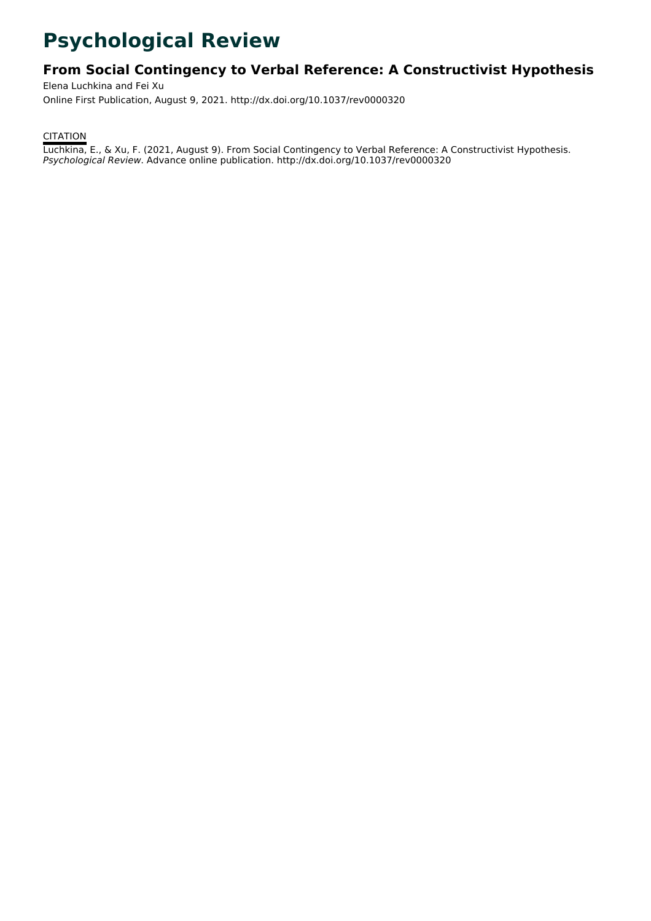# **Psychological Review**

# **From Social Contingency to Verbal Reference: A Constructivist Hypothesis**

Elena Luchkina and Fei Xu Online First Publication, August 9, 2021. http://dx.doi.org/10.1037/rev0000320

**CITATION** 

Luchkina, E., & Xu, F. (2021, August 9). From Social Contingency to Verbal Reference: A Constructivist Hypothesis. Psychological Review. Advance online publication. http://dx.doi.org/10.1037/rev0000320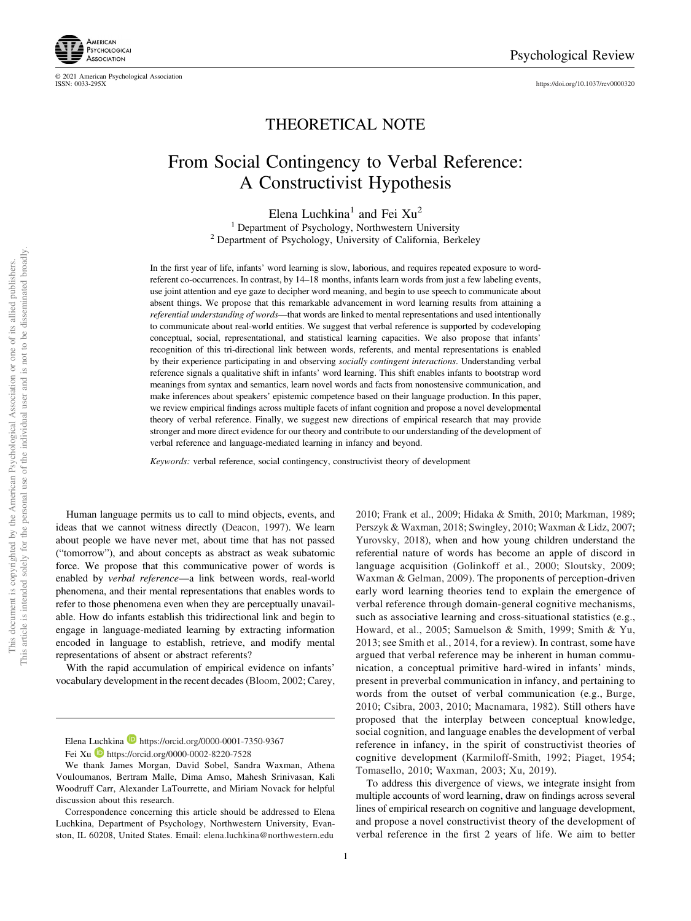<https://doi.org/10.1037/rev0000320>



© 2021 American Psychological Association

# THEORETICAL NOTE

# From Social Contingency to Verbal Reference: A Constructivist Hypothesis

Elena Luchkina<sup>1</sup> and Fei  $Xu<sup>2</sup>$ <sup>1</sup> Department of Psychology, Northwestern University <sup>2</sup> Department of Psychology, University of California, Berkeley

In the first year of life, infants' word learning is slow, laborious, and requires repeated exposure to wordreferent co-occurrences. In contrast, by 14–18 months, infants learn words from just a few labeling events, use joint attention and eye gaze to decipher word meaning, and begin to use speech to communicate about absent things. We propose that this remarkable advancement in word learning results from attaining a referential understanding of words—that words are linked to mental representations and used intentionally to communicate about real-world entities. We suggest that verbal reference is supported by codeveloping conceptual, social, representational, and statistical learning capacities. We also propose that infants' recognition of this tri-directional link between words, referents, and mental representations is enabled by their experience participating in and observing socially contingent interactions. Understanding verbal reference signals a qualitative shift in infants' word learning. This shift enables infants to bootstrap word meanings from syntax and semantics, learn novel words and facts from nonostensive communication, and make inferences about speakers' epistemic competence based on their language production. In this paper, we review empirical findings across multiple facets of infant cognition and propose a novel developmental theory of verbal reference. Finally, we suggest new directions of empirical research that may provide stronger and more direct evidence for our theory and contribute to our understanding of the development of verbal reference and language-mediated learning in infancy and beyond.

Keywords: verbal reference, social contingency, constructivist theory of development

Human language permits us to call to mind objects, events, and ideas that we cannot witness directly (Deacon, 1997). We learn about people we have never met, about time that has not passed ("tomorrow"), and about concepts as abstract as weak subatomic force. We propose that this communicative power of words is enabled by verbal reference—a link between words, real-world phenomena, and their mental representations that enables words to refer to those phenomena even when they are perceptually unavailable. How do infants establish this tridirectional link and begin to engage in language-mediated learning by extracting information encoded in language to establish, retrieve, and modify mental representations of absent or abstract referents?

With the rapid accumulation of empirical evidence on infants' vocabulary development in the recent decades (Bloom, 2002; Carey,

2010; Frank et al., 2009; Hidaka & Smith, 2010; Markman, 1989; Perszyk & Waxman, 2018; Swingley, 2010; Waxman & Lidz, 2007; Yurovsky, 2018), when and how young children understand the referential nature of words has become an apple of discord in language acquisition (Golinkoff et al., 2000; Sloutsky, 2009; Waxman & Gelman, 2009). The proponents of perception-driven early word learning theories tend to explain the emergence of verbal reference through domain-general cognitive mechanisms, such as associative learning and cross-situational statistics (e.g., Howard, et al., 2005; Samuelson & Smith, 1999; Smith & Yu, 2013; see Smith et al., 2014, for a review). In contrast, some have argued that verbal reference may be inherent in human communication, a conceptual primitive hard-wired in infants' minds, present in preverbal communication in infancy, and pertaining to words from the outset of verbal communication (e.g., Burge, 2010; Csibra, 2003, 2010; Macnamara, 1982). Still others have proposed that the interplay between conceptual knowledge, social cognition, and language enables the development of verbal reference in infancy, in the spirit of constructivist theories of cognitive development (Karmiloff-Smith, 1992; Piaget, 1954; Tomasello, 2010; Waxman, 2003; Xu, 2019).

To address this divergence of views, we integrate insight from multiple accounts of word learning, draw on findings across several lines of empirical research on cognitive and language development, and propose a novel constructivist theory of the development of verbal reference in the first 2 years of life. We aim to better

Elena Luchkina D <https://orcid.org/0000-0001-7350-9367>

Fei Xu **b** <https://orcid.org/0000-0002-8220-7528>

We thank James Morgan, David Sobel, Sandra Waxman, Athena Vouloumanos, Bertram Malle, Dima Amso, Mahesh Srinivasan, Kali Woodruff Carr, Alexander LaTourrette, and Miriam Novack for helpful discussion about this research.

Correspondence concerning this article should be addressed to Elena Luchkina, Department of Psychology, Northwestern University, Evanston, IL 60208, United States. Email: [elena.luchkina@northwestern.edu](mailto:elena.luchkina@northwestern.edu)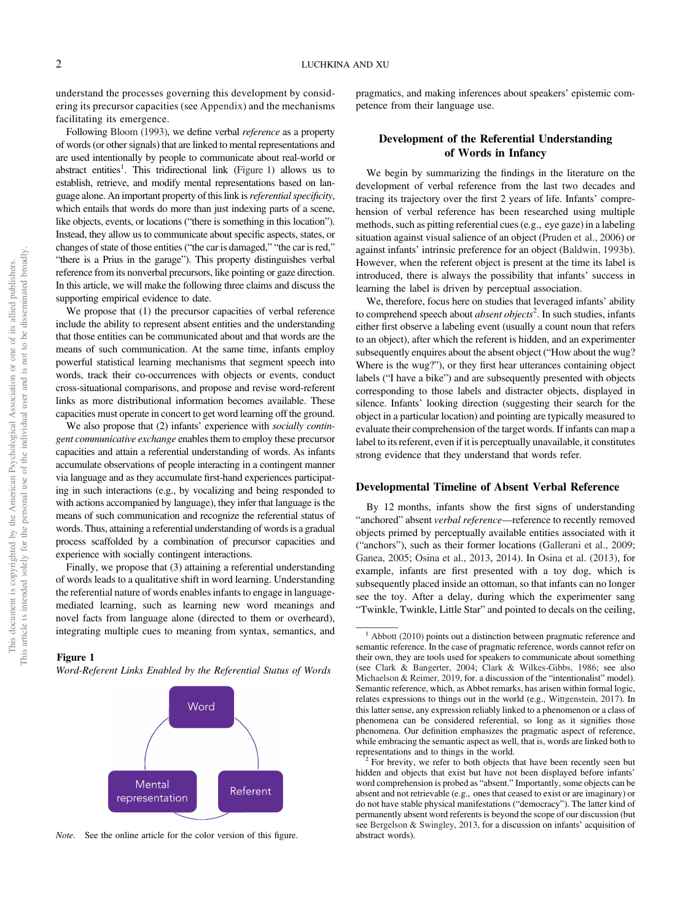<span id="page-2-0"></span>understand the processes governing this development by considering its precursor capacities (see Appendix) and the mechanisms facilitating its emergence.

Following Bloom (1993), we define verbal reference as a property of words (or other signals) that are linked to mental representations and are used intentionally by people to communicate about real-world or abstract entities<sup>1</sup>. This tridirectional link (Figure 1) allows us to establish, retrieve, and modify mental representations based on language alone. An important property of this link is *referential specificity*, which entails that words do more than just indexing parts of a scene, like objects, events, or locations ("there is something in this location"). Instead, they allow us to communicate about specific aspects, states, or changes of state of those entities ("the car is damaged," "the car is red," "there is a Prius in the garage"). This property distinguishes verbal reference from its nonverbal precursors, like pointing or gaze direction. In this article, we will make the following three claims and discuss the supporting empirical evidence to date.

We propose that (1) the precursor capacities of verbal reference include the ability to represent absent entities and the understanding that those entities can be communicated about and that words are the means of such communication. At the same time, infants employ powerful statistical learning mechanisms that segment speech into words, track their co-occurrences with objects or events, conduct cross-situational comparisons, and propose and revise word-referent links as more distributional information becomes available. These capacities must operate in concert to get word learning off the ground.

We also propose that (2) infants' experience with *socially contin*gent communicative exchange enables them to employ these precursor capacities and attain a referential understanding of words. As infants accumulate observations of people interacting in a contingent manner via language and as they accumulate first-hand experiences participating in such interactions (e.g., by vocalizing and being responded to with actions accompanied by language), they infer that language is the means of such communication and recognize the referential status of words. Thus, attaining a referential understanding of words is a gradual process scaffolded by a combination of precursor capacities and experience with socially contingent interactions.

Finally, we propose that (3) attaining a referential understanding of words leads to a qualitative shift in word learning. Understanding the referential nature of words enables infants to engage in languagemediated learning, such as learning new word meanings and novel facts from language alone (directed to them or overheard), integrating multiple cues to meaning from syntax, semantics, and

#### Figure 1

Word-Referent Links Enabled by the Referential Status of Words



Note. See the online article for the color version of this figure.

pragmatics, and making inferences about speakers' epistemic competence from their language use.

## Development of the Referential Understanding of Words in Infancy

We begin by summarizing the findings in the literature on the development of verbal reference from the last two decades and tracing its trajectory over the first 2 years of life. Infants' comprehension of verbal reference has been researched using multiple methods, such as pitting referential cues (e.g., eye gaze) in a labeling situation against visual salience of an object (Pruden et al., 2006) or against infants' intrinsic preference for an object (Baldwin, 1993b). However, when the referent object is present at the time its label is introduced, there is always the possibility that infants' success in learning the label is driven by perceptual association.

We, therefore, focus here on studies that leveraged infants' ability to comprehend speech about *absent objects*<sup>2</sup>. In such studies, infants either first observe a labeling event (usually a count noun that refers to an object), after which the referent is hidden, and an experimenter subsequently enquires about the absent object ("How about the wug? Where is the wug?"), or they first hear utterances containing object labels ("I have a bike") and are subsequently presented with objects corresponding to those labels and distracter objects, displayed in silence. Infants' looking direction (suggesting their search for the object in a particular location) and pointing are typically measured to evaluate their comprehension of the target words. If infants can map a label to its referent, even if it is perceptually unavailable, it constitutes strong evidence that they understand that words refer.

#### Developmental Timeline of Absent Verbal Reference

By 12 months, infants show the first signs of understanding "anchored" absent verbal reference-reference to recently removed objects primed by perceptually available entities associated with it ("anchors"), such as their former locations (Gallerani et al., 2009; Ganea, 2005; Osina et al., 2013, 2014). In Osina et al. (2013), for example, infants are first presented with a toy dog, which is subsequently placed inside an ottoman, so that infants can no longer see the toy. After a delay, during which the experimenter sang "Twinkle, Twinkle, Little Star" and pointed to decals on the ceiling,

 $1$  Abbott (2010) points out a distinction between pragmatic reference and semantic reference. In the case of pragmatic reference, words cannot refer on their own, they are tools used for speakers to communicate about something (see Clark & Bangerter, 2004; Clark & Wilkes-Gibbs, 1986; see also Michaelson & Reimer, 2019, for. a discussion of the "intentionalist" model). Semantic reference, which, as Abbot remarks, has arisen within formal logic, relates expressions to things out in the world (e.g., Wittgenstein, 2017). In this latter sense, any expression reliably linked to a phenomenon or a class of phenomena can be considered referential, so long as it signifies those phenomena. Our definition emphasizes the pragmatic aspect of reference, while embracing the semantic aspect as well, that is, words are linked both to

representations and to things in the world. <sup>2</sup> For brevity, we refer to both objects that have been recently seen but hidden and objects that exist but have not been displayed before infants' word comprehension is probed as "absent." Importantly, some objects can be absent and not retrievable (e.g., ones that ceased to exist or are imaginary) or do not have stable physical manifestations ("democracy"). The latter kind of permanently absent word referents is beyond the scope of our discussion (but see Bergelson & Swingley, 2013, for a discussion on infants' acquisition of abstract words).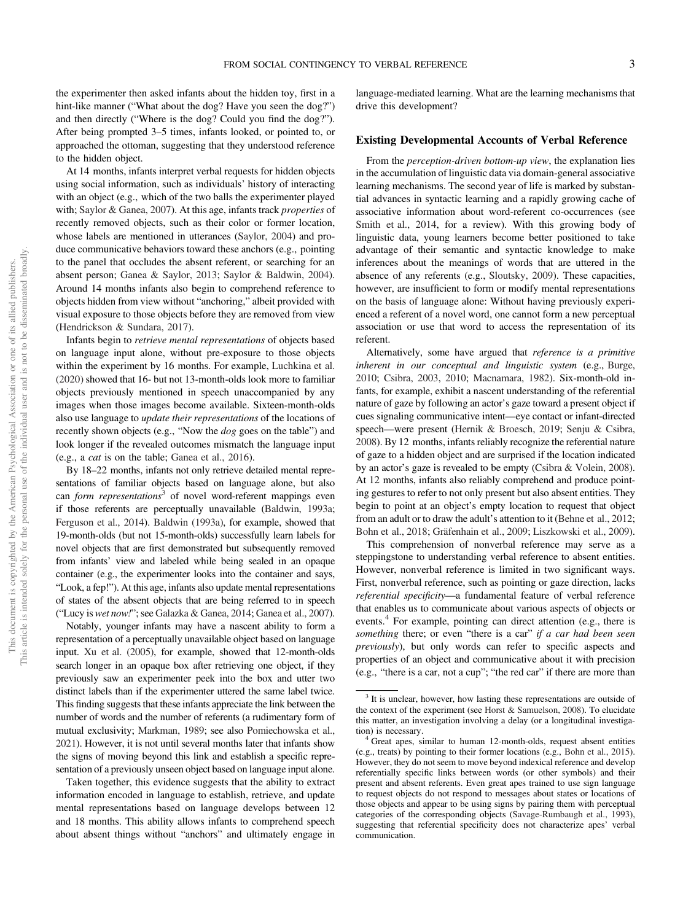the experimenter then asked infants about the hidden toy, first in a hint-like manner ("What about the dog? Have you seen the dog?") and then directly ("Where is the dog? Could you find the dog?"). After being prompted 3–5 times, infants looked, or pointed to, or approached the ottoman, suggesting that they understood reference to the hidden object.

At 14 months, infants interpret verbal requests for hidden objects using social information, such as individuals' history of interacting with an object (e.g., which of the two balls the experimenter played with; Saylor & Ganea, 2007). At this age, infants track properties of recently removed objects, such as their color or former location, whose labels are mentioned in utterances (Saylor, 2004) and produce communicative behaviors toward these anchors (e.g., pointing to the panel that occludes the absent referent, or searching for an absent person; Ganea & Saylor, 2013; Saylor & Baldwin, 2004). Around 14 months infants also begin to comprehend reference to objects hidden from view without "anchoring," albeit provided with visual exposure to those objects before they are removed from view (Hendrickson & Sundara, 2017).

Infants begin to retrieve mental representations of objects based on language input alone, without pre-exposure to those objects within the experiment by 16 months. For example, Luchkina et al. (2020) showed that 16- but not 13-month-olds look more to familiar objects previously mentioned in speech unaccompanied by any images when those images become available. Sixteen-month-olds also use language to update their representations of the locations of recently shown objects (e.g., "Now the dog goes on the table") and look longer if the revealed outcomes mismatch the language input (e.g., a cat is on the table; Ganea et al., 2016).

By 18–22 months, infants not only retrieve detailed mental representations of familiar objects based on language alone, but also can *form representations*<sup>3</sup> of novel word-referent mappings even if those referents are perceptually unavailable (Baldwin, 1993a; Ferguson et al., 2014). Baldwin (1993a), for example, showed that 19-month-olds (but not 15-month-olds) successfully learn labels for novel objects that are first demonstrated but subsequently removed from infants' view and labeled while being sealed in an opaque container (e.g., the experimenter looks into the container and says, "Look, a fep!"). At this age, infants also update mental representations of states of the absent objects that are being referred to in speech ("Lucy is wet now!"; see Galazka & Ganea, 2014; Ganea et al., 2007).

Notably, younger infants may have a nascent ability to form a representation of a perceptually unavailable object based on language input. Xu et al. (2005), for example, showed that 12-month-olds search longer in an opaque box after retrieving one object, if they previously saw an experimenter peek into the box and utter two distinct labels than if the experimenter uttered the same label twice. This finding suggests that these infants appreciate the link between the number of words and the number of referents (a rudimentary form of mutual exclusivity; Markman, 1989; see also Pomiechowska et al., 2021). However, it is not until several months later that infants show the signs of moving beyond this link and establish a specific representation of a previously unseen object based on language input alone.

Taken together, this evidence suggests that the ability to extract information encoded in language to establish, retrieve, and update mental representations based on language develops between 12 and 18 months. This ability allows infants to comprehend speech about absent things without "anchors" and ultimately engage in

language-mediated learning. What are the learning mechanisms that drive this development?

#### Existing Developmental Accounts of Verbal Reference

From the *perception-driven bottom-up view*, the explanation lies in the accumulation of linguistic data via domain-general associative learning mechanisms. The second year of life is marked by substantial advances in syntactic learning and a rapidly growing cache of associative information about word-referent co-occurrences (see Smith et al., 2014, for a review). With this growing body of linguistic data, young learners become better positioned to take advantage of their semantic and syntactic knowledge to make inferences about the meanings of words that are uttered in the absence of any referents (e.g., Sloutsky, 2009). These capacities, however, are insufficient to form or modify mental representations on the basis of language alone: Without having previously experienced a referent of a novel word, one cannot form a new perceptual association or use that word to access the representation of its referent.

Alternatively, some have argued that reference is a primitive inherent in our conceptual and linguistic system (e.g., Burge, 2010; Csibra, 2003, 2010; Macnamara, 1982). Six-month-old infants, for example, exhibit a nascent understanding of the referential nature of gaze by following an actor's gaze toward a present object if cues signaling communicative intent—eye contact or infant-directed speech—were present (Hernik & Broesch, 2019; Senju & Csibra, 2008). By 12 months, infants reliably recognize the referential nature of gaze to a hidden object and are surprised if the location indicated by an actor's gaze is revealed to be empty (Csibra & Volein, 2008). At 12 months, infants also reliably comprehend and produce pointing gestures to refer to not only present but also absent entities. They begin to point at an object's empty location to request that object from an adult or to draw the adult's attention to it (Behne et al., 2012; Bohn et al., 2018; Gräfenhain et al., 2009; Liszkowski et al., 2009).

This comprehension of nonverbal reference may serve as a steppingstone to understanding verbal reference to absent entities. However, nonverbal reference is limited in two significant ways. First, nonverbal reference, such as pointing or gaze direction, lacks referential specificity—a fundamental feature of verbal reference that enables us to communicate about various aspects of objects or events.<sup>4</sup> For example, pointing can direct attention (e.g., there is something there; or even "there is a car" if a car had been seen previously), but only words can refer to specific aspects and properties of an object and communicative about it with precision (e.g., "there is a car, not a cup"; "the red car" if there are more than

<sup>&</sup>lt;sup>3</sup> It is unclear, however, how lasting these representations are outside of the context of the experiment (see Horst & Samuelson, 2008). To elucidate this matter, an investigation involving a delay (or a longitudinal investigation) is necessary.<br><sup>4</sup> Great apes, similar to human 12-month-olds, request absent entities

<sup>(</sup>e.g., treats) by pointing to their former locations (e.g., Bohn et al., 2015). However, they do not seem to move beyond indexical reference and develop referentially specific links between words (or other symbols) and their present and absent referents. Even great apes trained to use sign language to request objects do not respond to messages about states or locations of those objects and appear to be using signs by pairing them with perceptual categories of the corresponding objects (Savage-Rumbaugh et al., 1993), suggesting that referential specificity does not characterize apes' verbal communication.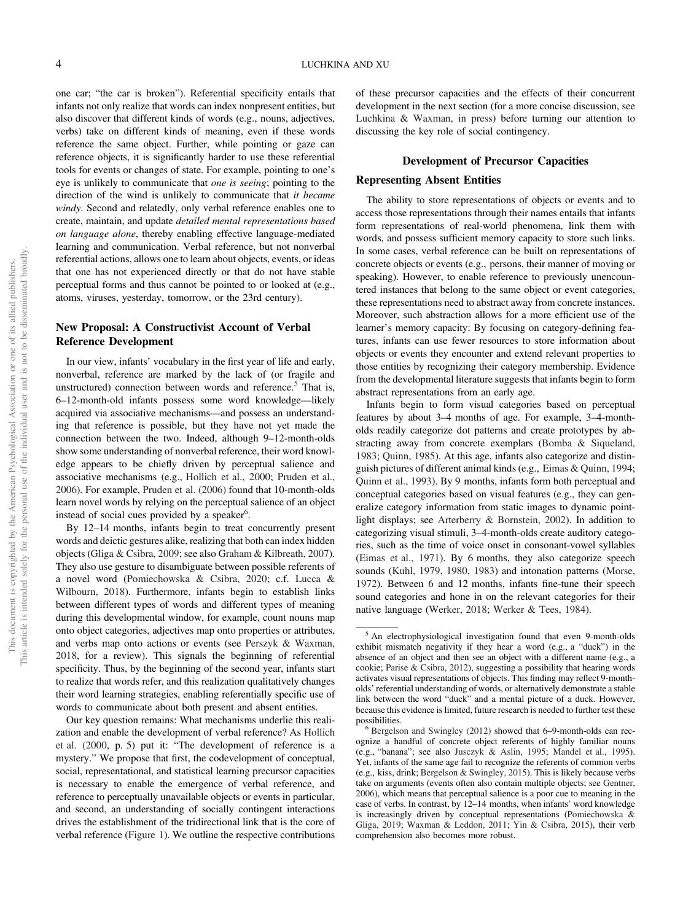one car; "the car is broken"). Referential specificity entails that infants not only realize that words can index nonpresent entities, but also discover that different kinds of words (e.g., nouns, adjectives, verbs) take on different kinds of meaning, even if these words reference the same object. Further, while pointing or gaze can reference objects, it is significantly harder to use these referential tools for events or changes of state. For example, pointing to one's eye is unlikely to communicate that one is seeing; pointing to the direction of the wind is unlikely to communicate that it became windy. Second and relatedly, only verbal reference enables one to create, maintain, and update detailed mental representations based on language alone, thereby enabling effective language-mediated learning and communication. Verbal reference, but not nonverbal referential actions, allows one to learn about objects, events, or ideas that one has not experienced directly or that do not have stable perceptual forms and thus cannot be pointed to or looked at (e.g., atoms, viruses, yesterday, tomorrow, or the 23rd century).

### New Proposal: A Constructivist Account of Verbal Reference Development

In our view, infants' vocabulary in the first year of life and early, nonverbal, reference are marked by the lack of (or fragile and unstructured) connection between words and reference. $5$  That is, 6–12-month-old infants possess some word knowledge—likely acquired via associative mechanisms—and possess an understanding that reference is possible, but they have not yet made the connection between the two. Indeed, although 9–12-month-olds show some understanding of nonverbal reference, their word knowledge appears to be chiefly driven by perceptual salience and associative mechanisms (e.g., Hollich et al., 2000; Pruden et al., 2006). For example, Pruden et al. (2006) found that 10-month-olds learn novel words by relying on the perceptual salience of an object instead of social cues provided by a speaker<sup>6</sup>.

By 12–14 months, infants begin to treat concurrently present words and deictic gestures alike, realizing that both can index hidden objects (Gliga & Csibra, 2009; see also [Graham & Kilbreath, 2007\)](#page-14-0). They also use gesture to disambiguate between possible referents of a novel word [\(Pomiechowska & Csibra, 2020;](#page-16-0) c.f. Lucca & Wilbourn, 2018). Furthermore, infants begin to establish links between different types of words and different types of meaning during this developmental window, for example, count nouns map onto object categories, adjectives map onto properties or attributes, and verbs map onto actions or events (see Perszyk & Waxman, 2018, for a review). This signals the beginning of referential specificity. Thus, by the beginning of the second year, infants start to realize that words refer, and this realization qualitatively changes their word learning strategies, enabling referentially specific use of words to communicate about both present and absent entities.

Our key question remains: What mechanisms underlie this realization and enable the development of verbal reference? As Hollich et al. (2000, p. 5) put it: "The development of reference is a mystery." We propose that first, the codevelopment of conceptual, social, representational, and statistical learning precursor capacities is necessary to enable the emergence of verbal reference, and reference to perceptually unavailable objects or events in particular, and second, an understanding of socially contingent interactions drives the establishment of the tridirectional link that is the core of verbal reference [\(Figure 1](#page-2-0)). We outline the respective contributions of these precursor capacities and the effects of their concurrent development in the next section (for a more concise discussion, see Luchkina & Waxman, in press) before turning our attention to discussing the key role of social contingency.

#### Development of Precursor Capacities

#### Representing Absent Entities

The ability to store representations of objects or events and to access those representations through their names entails that infants form representations of real-world phenomena, link them with words, and possess sufficient memory capacity to store such links. In some cases, verbal reference can be built on representations of concrete objects or events (e.g., persons, their manner of moving or speaking). However, to enable reference to previously unencountered instances that belong to the same object or event categories, these representations need to abstract away from concrete instances. Moreover, such abstraction allows for a more efficient use of the learner's memory capacity: By focusing on category-defining features, infants can use fewer resources to store information about objects or events they encounter and extend relevant properties to those entities by recognizing their category membership. Evidence from the developmental literature suggests that infants begin to form abstract representations from an early age.

Infants begin to form visual categories based on perceptual features by about 3–4 months of age. For example, 3–4-montholds readily categorize dot patterns and create prototypes by abstracting away from concrete exemplars (Bomba & Siqueland, 1983; Quinn, 1985). At this age, infants also categorize and distinguish pictures of different animal kinds (e.g., Eimas & Quinn, 1994; Quinn et al., 1993). By 9 months, infants form both perceptual and conceptual categories based on visual features (e.g., they can generalize category information from static images to dynamic pointlight displays; see Arterberry & Bornstein, 2002). In addition to categorizing visual stimuli, 3–4-month-olds create auditory categories, such as the time of voice onset in consonant-vowel syllables (Eimas et al., 1971). By 6 months, they also categorize speech sounds (Kuhl, 1979, 1980, 1983) and intonation patterns (Morse, 1972). Between 6 and 12 months, infants fine-tune their speech sound categories and hone in on the relevant categories for their native language (Werker, 2018; Werker & Tees, 1984).

<sup>&</sup>lt;sup>5</sup> An electrophysiological investigation found that even 9-month-olds exhibit mismatch negativity if they hear a word (e.g., a "duck") in the absence of an object and then see an object with a different name (e.g., a cookie; Parise & Csibra, 2012), suggesting a possibility that hearing words activates visual representations of objects. This finding may reflect 9-montholds' referential understanding of words, or alternatively demonstrate a stable link between the word "duck" and a mental picture of a duck. However, because this evidence is limited, future research is needed to further test these

 $6$  Bergelson and Swingley (2012) showed that 6–9-month-olds can recognize a handful of concrete object referents of highly familiar nouns (e.g., "banana"; see also Jusczyk & Aslin, 1995; Mandel et al., 1995). Yet, infants of the same age fail to recognize the referents of common verbs (e.g., kiss, drink; Bergelson & Swingley, 2015). This is likely because verbs take on arguments (events often also contain multiple objects; see Gentner, 2006), which means that perceptual salience is a poor cue to meaning in the case of verbs. In contrast, by 12–14 months, when infants' word knowledge is increasingly driven by conceptual representations (Pomiechowska & Gliga, 2019; Waxman & Leddon, 2011; Yin & Csibra, 2015), their verb comprehension also becomes more robust.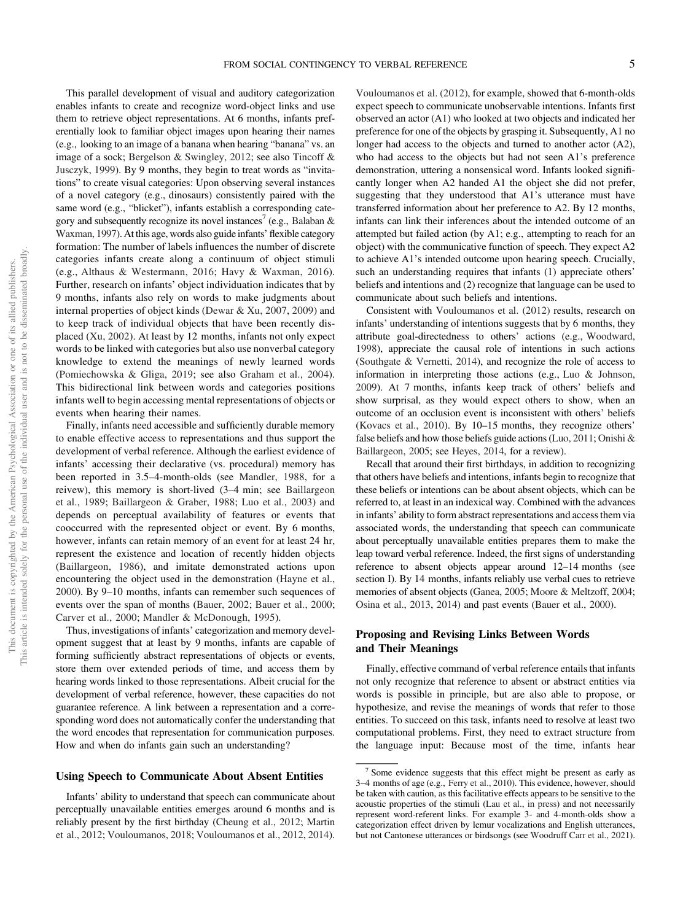This parallel development of visual and auditory categorization enables infants to create and recognize word-object links and use them to retrieve object representations. At 6 months, infants preferentially look to familiar object images upon hearing their names (e.g., looking to an image of a banana when hearing "banana" vs. an image of a sock; Bergelson & Swingley, 2012; see also Tincoff & Jusczyk, 1999). By 9 months, they begin to treat words as "invitations" to create visual categories: Upon observing several instances of a novel category (e.g., dinosaurs) consistently paired with the same word (e.g., "blicket"), infants establish a corresponding category and subsequently recognize its novel instances<sup>7</sup> (e.g., Balaban & Waxman, 1997). At this age, words also guide infants' flexible category formation: The number of labels influences the number of discrete categories infants create along a continuum of object stimuli (e.g., Althaus & Westermann, 2016; Havy & Waxman, 2016). Further, research on infants' object individuation indicates that by 9 months, infants also rely on words to make judgments about internal properties of object kinds (Dewar & Xu, 2007, 2009) and to keep track of individual objects that have been recently displaced (Xu, 2002). At least by 12 months, infants not only expect words to be linked with categories but also use nonverbal category knowledge to extend the meanings of newly learned words (Pomiechowska & Gliga, 2019; see also Graham et al., 2004). This bidirectional link between words and categories positions infants well to begin accessing mental representations of objects or events when hearing their names.

Finally, infants need accessible and sufficiently durable memory to enable effective access to representations and thus support the development of verbal reference. Although the earliest evidence of infants' accessing their declarative (vs. procedural) memory has been reported in 3.5–4-month-olds (see Mandler, 1988, for a reivew), this memory is short-lived (3–4 min; see Baillargeon et al., 1989; Baillargeon & Graber, 1988; Luo et al., 2003) and depends on perceptual availability of features or events that cooccurred with the represented object or event. By 6 months, however, infants can retain memory of an event for at least 24 hr, represent the existence and location of recently hidden objects (Baillargeon, 1986), and imitate demonstrated actions upon encountering the object used in the demonstration (Hayne et al., 2000). By 9–10 months, infants can remember such sequences of events over the span of months (Bauer, 2002; Bauer et al., 2000; Carver et al., 2000; Mandler & McDonough, 1995).

Thus, investigations of infants' categorization and memory development suggest that at least by 9 months, infants are capable of forming sufficiently abstract representations of objects or events, store them over extended periods of time, and access them by hearing words linked to those representations. Albeit crucial for the development of verbal reference, however, these capacities do not guarantee reference. A link between a representation and a corresponding word does not automatically confer the understanding that the word encodes that representation for communication purposes. How and when do infants gain such an understanding?

#### Using Speech to Communicate About Absent Entities

Infants' ability to understand that speech can communicate about perceptually unavailable entities emerges around 6 months and is reliably present by the first birthday (Cheung et al., 2012; Martin et al., 2012; Vouloumanos, 2018; Vouloumanos et al., 2012, 2014).

Vouloumanos et al. (2012), for example, showed that 6-month-olds expect speech to communicate unobservable intentions. Infants first observed an actor (A1) who looked at two objects and indicated her preference for one of the objects by grasping it. Subsequently, A1 no longer had access to the objects and turned to another actor (A2), who had access to the objects but had not seen A1's preference demonstration, uttering a nonsensical word. Infants looked significantly longer when A2 handed A1 the object she did not prefer, suggesting that they understood that A1's utterance must have transferred information about her preference to A2. By 12 months, infants can link their inferences about the intended outcome of an attempted but failed action (by A1; e.g., attempting to reach for an object) with the communicative function of speech. They expect A2 to achieve A1's intended outcome upon hearing speech. Crucially, such an understanding requires that infants (1) appreciate others' beliefs and intentions and (2) recognize that language can be used to communicate about such beliefs and intentions.

Consistent with Vouloumanos et al. (2012) results, research on infants' understanding of intentions suggests that by 6 months, they attribute goal-directedness to others' actions (e.g., Woodward, 1998), appreciate the causal role of intentions in such actions (Southgate & Vernetti, 2014), and recognize the role of access to information in interpreting those actions (e.g., Luo & Johnson, 2009). At 7 months, infants keep track of others' beliefs and show surprisal, as they would expect others to show, when an outcome of an occlusion event is inconsistent with others' beliefs (Kovacs et al., 2010). By 10–15 months, they recognize others' false beliefs and how those beliefs guide actions (Luo, 2011; Onishi & Baillargeon, 2005; see Heyes, 2014, for a review).

Recall that around their first birthdays, in addition to recognizing that others have beliefs and intentions, infants begin to recognize that these beliefs or intentions can be about absent objects, which can be referred to, at least in an indexical way. Combined with the advances in infants' ability to form abstract representations and access them via associated words, the understanding that speech can communicate about perceptually unavailable entities prepares them to make the leap toward verbal reference. Indeed, the first signs of understanding reference to absent objects appear around 12–14 months (see section I). By 14 months, infants reliably use verbal cues to retrieve memories of absent objects (Ganea, 2005; Moore & Meltzoff, 2004; Osina et al., 2013, 2014) and past events (Bauer et al., 2000).

#### Proposing and Revising Links Between Words and Their Meanings

Finally, effective command of verbal reference entails that infants not only recognize that reference to absent or abstract entities via words is possible in principle, but are also able to propose, or hypothesize, and revise the meanings of words that refer to those entities. To succeed on this task, infants need to resolve at least two computational problems. First, they need to extract structure from the language input: Because most of the time, infants hear

<sup>7</sup> Some evidence suggests that this effect might be present as early as 3–4 months of age (e.g., Ferry et al., 2010). This evidence, however, should be taken with caution, as this facilitative effects appears to be sensitive to the acoustic properties of the stimuli (Lau et al., in press) and not necessarily represent word-referent links. For example 3- and 4-month-olds show a categorization effect driven by lemur vocalizations and English utterances, but not Cantonese utterances or birdsongs (see Woodruff Carr et al., 2021).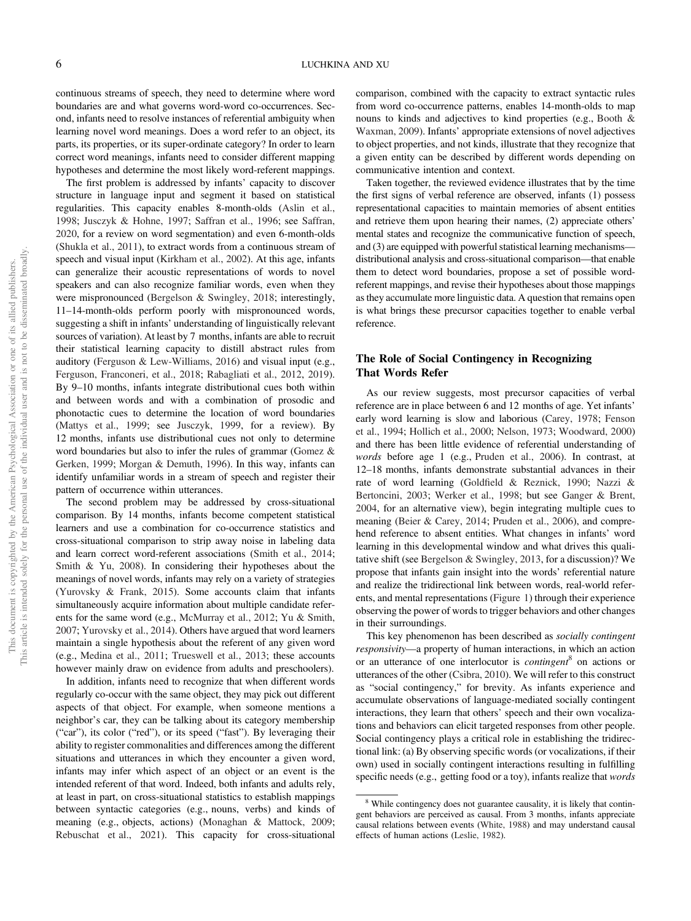continuous streams of speech, they need to determine where word boundaries are and what governs word-word co-occurrences. Second, infants need to resolve instances of referential ambiguity when learning novel word meanings. Does a word refer to an object, its parts, its properties, or its super-ordinate category? In order to learn correct word meanings, infants need to consider different mapping hypotheses and determine the most likely word-referent mappings.

The first problem is addressed by infants' capacity to discover structure in language input and segment it based on statistical regularities. This capacity enables 8-month-olds (Aslin et al., 1998; Jusczyk & Hohne, 1997; Saffran et al., 1996; see Saffran, 2020, for a review on word segmentation) and even 6-month-olds (Shukla et al., 2011), to extract words from a continuous stream of speech and visual input (Kirkham et al., 2002). At this age, infants can generalize their acoustic representations of words to novel speakers and can also recognize familiar words, even when they were mispronounced (Bergelson & Swingley, 2018; interestingly, 11–14-month-olds perform poorly with mispronounced words, suggesting a shift in infants' understanding of linguistically relevant sources of variation). At least by 7 months, infants are able to recruit their statistical learning capacity to distill abstract rules from auditory (Ferguson & Lew-Williams, 2016) and visual input (e.g., Ferguson, Franconeri, et al., 2018; Rabagliati et al., 2012, 2019). By 9–10 months, infants integrate distributional cues both within and between words and with a combination of prosodic and phonotactic cues to determine the location of word boundaries (Mattys et al., 1999; see Jusczyk, 1999, for a review). By 12 months, infants use distributional cues not only to determine word boundaries but also to infer the rules of grammar (Gomez & Gerken, 1999; Morgan & Demuth, 1996). In this way, infants can identify unfamiliar words in a stream of speech and register their pattern of occurrence within utterances.

The second problem may be addressed by cross-situational comparison. By 14 months, infants become competent statistical learners and use a combination for co-occurrence statistics and cross-situational comparison to strip away noise in labeling data and learn correct word-referent associations (Smith et al., 2014; Smith & Yu, 2008). In considering their hypotheses about the meanings of novel words, infants may rely on a variety of strategies (Yurovsky & Frank, 2015). Some accounts claim that infants simultaneously acquire information about multiple candidate referents for the same word (e.g., McMurray et al., 2012; Yu & Smith, 2007; Yurovsky et al., 2014). Others have argued that word learners maintain a single hypothesis about the referent of any given word (e.g., Medina et al., 2011; Trueswell et al., 2013; these accounts however mainly draw on evidence from adults and preschoolers).

In addition, infants need to recognize that when different words regularly co-occur with the same object, they may pick out different aspects of that object. For example, when someone mentions a neighbor's car, they can be talking about its category membership ("car"), its color ("red"), or its speed ("fast"). By leveraging their ability to register commonalities and differences among the different situations and utterances in which they encounter a given word, infants may infer which aspect of an object or an event is the intended referent of that word. Indeed, both infants and adults rely, at least in part, on cross-situational statistics to establish mappings between syntactic categories (e.g., nouns, verbs) and kinds of meaning (e.g., objects, actions) (Monaghan & Mattock, 2009; Rebuschat et al., 2021). This capacity for cross-situational comparison, combined with the capacity to extract syntactic rules from word co-occurrence patterns, enables 14-month-olds to map nouns to kinds and adjectives to kind properties (e.g., Booth & Waxman, 2009). Infants' appropriate extensions of novel adjectives to object properties, and not kinds, illustrate that they recognize that a given entity can be described by different words depending on communicative intention and context.

Taken together, the reviewed evidence illustrates that by the time the first signs of verbal reference are observed, infants (1) possess representational capacities to maintain memories of absent entities and retrieve them upon hearing their names, (2) appreciate others' mental states and recognize the communicative function of speech, and (3) are equipped with powerful statistical learning mechanisms distributional analysis and cross-situational comparison—that enable them to detect word boundaries, propose a set of possible wordreferent mappings, and revise their hypotheses about those mappings as they accumulate more linguistic data. A question that remains open is what brings these precursor capacities together to enable verbal reference.

## The Role of Social Contingency in Recognizing That Words Refer

As our review suggests, most precursor capacities of verbal reference are in place between 6 and 12 months of age. Yet infants' early word learning is slow and laborious (Carey, 1978; Fenson et al., 1994; Hollich et al., 2000; Nelson, 1973; Woodward, 2000) and there has been little evidence of referential understanding of words before age 1 (e.g., Pruden et al., 2006). In contrast, at 12–18 months, infants demonstrate substantial advances in their rate of word learning (Goldfield & Reznick, 1990; Nazzi & Bertoncini, 2003; Werker et al., 1998; but see Ganger & Brent, 2004, for an alternative view), begin integrating multiple cues to meaning (Beier & Carey, 2014; Pruden et al., 2006), and comprehend reference to absent entities. What changes in infants' word learning in this developmental window and what drives this qualitative shift (see Bergelson & Swingley, 2013, for a discussion)? We propose that infants gain insight into the words' referential nature and realize the tridirectional link between words, real-world referents, and mental representations [\(Figure 1\)](#page-2-0) through their experience observing the power of words to trigger behaviors and other changes in their surroundings.

This key phenomenon has been described as socially contingent responsivity—a property of human interactions, in which an action or an utterance of one interlocutor is *contingent*<sup>8</sup> on actions or utterances of the other (Csibra, 2010). We will refer to this construct as "social contingency," for brevity. As infants experience and accumulate observations of language-mediated socially contingent interactions, they learn that others' speech and their own vocalizations and behaviors can elicit targeted responses from other people. Social contingency plays a critical role in establishing the tridirectional link: (a) By observing specific words (or vocalizations, if their own) used in socially contingent interactions resulting in fulfilling specific needs (e.g., getting food or a toy), infants realize that words

<sup>&</sup>lt;sup>8</sup> While contingency does not guarantee causality, it is likely that contingent behaviors are perceived as causal. From 3 months, infants appreciate causal relations between events (White, 1988) and may understand causal effects of human actions (Leslie, 1982).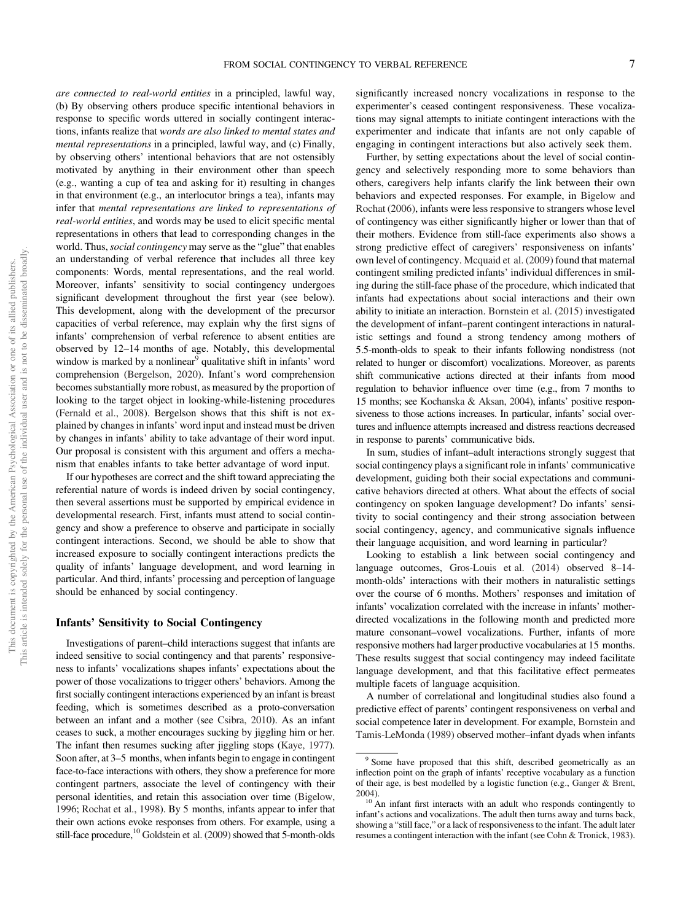are connected to real-world entities in a principled, lawful way, (b) By observing others produce specific intentional behaviors in response to specific words uttered in socially contingent interactions, infants realize that words are also linked to mental states and mental representations in a principled, lawful way, and (c) Finally, by observing others' intentional behaviors that are not ostensibly motivated by anything in their environment other than speech (e.g., wanting a cup of tea and asking for it) resulting in changes in that environment (e.g., an interlocutor brings a tea), infants may infer that mental representations are linked to representations of real-world entities, and words may be used to elicit specific mental representations in others that lead to corresponding changes in the world. Thus, social contingency may serve as the "glue" that enables an understanding of verbal reference that includes all three key components: Words, mental representations, and the real world. Moreover, infants' sensitivity to social contingency undergoes significant development throughout the first year (see below). This development, along with the development of the precursor capacities of verbal reference, may explain why the first signs of infants' comprehension of verbal reference to absent entities are observed by 12–14 months of age. Notably, this developmental window is marked by a nonlinear<sup>9</sup> qualitative shift in infants' word comprehension (Bergelson, 2020). Infant's word comprehension becomes substantially more robust, as measured by the proportion of looking to the target object in looking-while-listening procedures (Fernald et al., 2008). Bergelson shows that this shift is not explained by changes in infants' word input and instead must be driven by changes in infants' ability to take advantage of their word input. Our proposal is consistent with this argument and offers a mechanism that enables infants to take better advantage of word input.

If our hypotheses are correct and the shift toward appreciating the referential nature of words is indeed driven by social contingency, then several assertions must be supported by empirical evidence in developmental research. First, infants must attend to social contingency and show a preference to observe and participate in socially contingent interactions. Second, we should be able to show that increased exposure to socially contingent interactions predicts the quality of infants' language development, and word learning in particular. And third, infants' processing and perception of language should be enhanced by social contingency.

#### Infants' Sensitivity to Social Contingency

Investigations of parent–child interactions suggest that infants are indeed sensitive to social contingency and that parents' responsiveness to infants' vocalizations shapes infants' expectations about the power of those vocalizations to trigger others' behaviors. Among the first socially contingent interactions experienced by an infant is breast feeding, which is sometimes described as a proto-conversation between an infant and a mother (see Csibra, 2010). As an infant ceases to suck, a mother encourages sucking by jiggling him or her. The infant then resumes sucking after jiggling stops (Kaye, 1977). Soon after, at 3–5 months, when infants begin to engage in contingent face-to-face interactions with others, they show a preference for more contingent partners, associate the level of contingency with their personal identities, and retain this association over time (Bigelow, 1996; Rochat et al., 1998). By 5 months, infants appear to infer that their own actions evoke responses from others. For example, using a still-face procedure,  $^{10}$  Goldstein et al. (2009) showed that 5-month-olds

significantly increased noncry vocalizations in response to the experimenter's ceased contingent responsiveness. These vocalizations may signal attempts to initiate contingent interactions with the experimenter and indicate that infants are not only capable of engaging in contingent interactions but also actively seek them.

Further, by setting expectations about the level of social contingency and selectively responding more to some behaviors than others, caregivers help infants clarify the link between their own behaviors and expected responses. For example, in Bigelow and Rochat (2006), infants were less responsive to strangers whose level of contingency was either significantly higher or lower than that of their mothers. Evidence from still-face experiments also shows a strong predictive effect of caregivers' responsiveness on infants' own level of contingency. Mcquaid et al. (2009) found that maternal contingent smiling predicted infants' individual differences in smiling during the still-face phase of the procedure, which indicated that infants had expectations about social interactions and their own ability to initiate an interaction. Bornstein et al. (2015) investigated the development of infant–parent contingent interactions in naturalistic settings and found a strong tendency among mothers of 5.5-month-olds to speak to their infants following nondistress (not related to hunger or discomfort) vocalizations. Moreover, as parents shift communicative actions directed at their infants from mood regulation to behavior influence over time (e.g., from 7 months to 15 months; see Kochanska & Aksan, 2004), infants' positive responsiveness to those actions increases. In particular, infants' social overtures and influence attempts increased and distress reactions decreased in response to parents' communicative bids.

In sum, studies of infant–adult interactions strongly suggest that social contingency plays a significant role in infants' communicative development, guiding both their social expectations and communicative behaviors directed at others. What about the effects of social contingency on spoken language development? Do infants' sensitivity to social contingency and their strong association between social contingency, agency, and communicative signals influence their language acquisition, and word learning in particular?

Looking to establish a link between social contingency and language outcomes, Gros-Louis et al. (2014) observed 8–14 month-olds' interactions with their mothers in naturalistic settings over the course of 6 months. Mothers' responses and imitation of infants' vocalization correlated with the increase in infants' motherdirected vocalizations in the following month and predicted more mature consonant–vowel vocalizations. Further, infants of more responsive mothers had larger productive vocabularies at 15 months. These results suggest that social contingency may indeed facilitate language development, and that this facilitative effect permeates multiple facets of language acquisition.

A number of correlational and longitudinal studies also found a predictive effect of parents' contingent responsiveness on verbal and social competence later in development. For example, Bornstein and Tamis-LeMonda (1989) observed mother–infant dyads when infants

<sup>9</sup> Some have proposed that this shift, described geometrically as an inflection point on the graph of infants' receptive vocabulary as a function of their age, is best modelled by a logistic function (e.g., Ganger & Brent,

<sup>2004).&</sup>lt;br> $10$  An infant first interacts with an adult who responds contingently to infant's actions and vocalizations. The adult then turns away and turns back, showing a "still face," or a lack of responsiveness to the infant. The adult later resumes a contingent interaction with the infant (see Cohn & Tronick, 1983).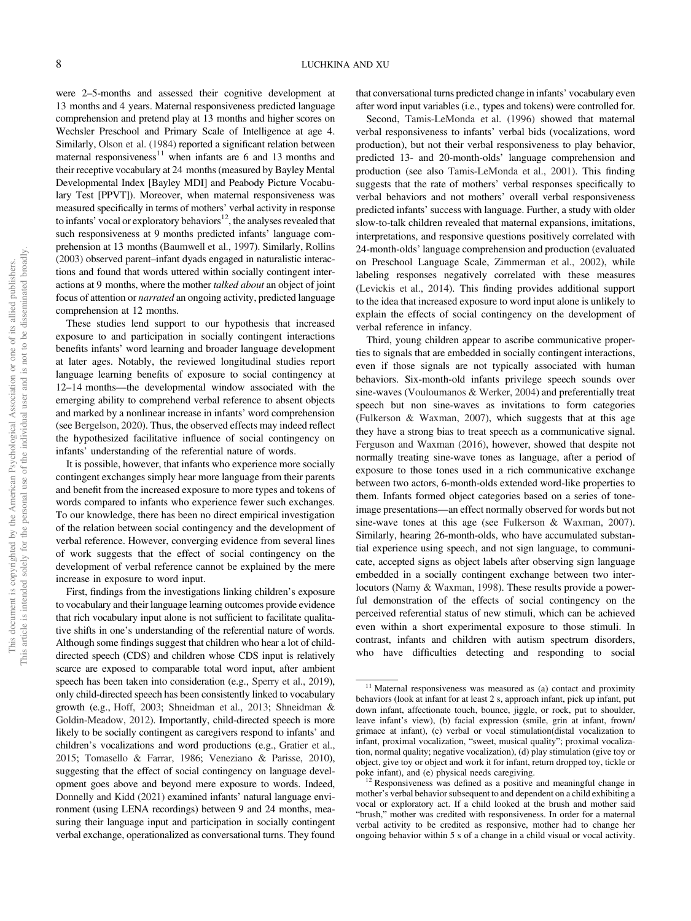were 2–5-months and assessed their cognitive development at 13 months and 4 years. Maternal responsiveness predicted language comprehension and pretend play at 13 months and higher scores on Wechsler Preschool and Primary Scale of Intelligence at age 4. Similarly, Olson et al. (1984) reported a significant relation between maternal responsiveness $11$  when infants are 6 and 13 months and their receptive vocabulary at 24 months (measured by Bayley Mental Developmental Index [Bayley MDI] and Peabody Picture Vocabulary Test [PPVT]). Moreover, when maternal responsiveness was measured specifically in terms of mothers' verbal activity in response to infants' vocal or exploratory behaviors $12$ , the analyses revealed that such responsiveness at 9 months predicted infants' language comprehension at 13 months (Baumwell et al., 1997). Similarly, Rollins (2003) observed parent–infant dyads engaged in naturalistic interactions and found that words uttered within socially contingent interactions at 9 months, where the mother talked about an object of joint focus of attention or narrated an ongoing activity, predicted language comprehension at 12 months.

These studies lend support to our hypothesis that increased exposure to and participation in socially contingent interactions benefits infants' word learning and broader language development at later ages. Notably, the reviewed longitudinal studies report language learning benefits of exposure to social contingency at 12–14 months—the developmental window associated with the emerging ability to comprehend verbal reference to absent objects and marked by a nonlinear increase in infants' word comprehension (see Bergelson, 2020). Thus, the observed effects may indeed reflect the hypothesized facilitative influence of social contingency on infants' understanding of the referential nature of words.

It is possible, however, that infants who experience more socially contingent exchanges simply hear more language from their parents and benefit from the increased exposure to more types and tokens of words compared to infants who experience fewer such exchanges. To our knowledge, there has been no direct empirical investigation of the relation between social contingency and the development of verbal reference. However, converging evidence from several lines of work suggests that the effect of social contingency on the development of verbal reference cannot be explained by the mere increase in exposure to word input.

First, findings from the investigations linking children's exposure to vocabulary and their language learning outcomes provide evidence that rich vocabulary input alone is not sufficient to facilitate qualitative shifts in one's understanding of the referential nature of words. Although some findings suggest that children who hear a lot of childdirected speech (CDS) and children whose CDS input is relatively scarce are exposed to comparable total word input, after ambient speech has been taken into consideration (e.g., Sperry et al., 2019), only child-directed speech has been consistently linked to vocabulary growth (e.g., Hoff, 2003; Shneidman et al., 2013; Shneidman & Goldin-Meadow, 2012). Importantly, child-directed speech is more likely to be socially contingent as caregivers respond to infants' and children's vocalizations and word productions (e.g., Gratier et al., 2015; Tomasello & Farrar, 1986; Veneziano & Parisse, 2010), suggesting that the effect of social contingency on language development goes above and beyond mere exposure to words. Indeed, Donnelly and Kidd (2021) examined infants' natural language environment (using LENA recordings) between 9 and 24 months, measuring their language input and participation in socially contingent verbal exchange, operationalized as conversational turns. They found that conversational turns predicted change in infants' vocabulary even after word input variables (i.e., types and tokens) were controlled for.

Second, Tamis-LeMonda et al. (1996) showed that maternal verbal responsiveness to infants' verbal bids (vocalizations, word production), but not their verbal responsiveness to play behavior, predicted 13- and 20-month-olds' language comprehension and production (see also Tamis-LeMonda et al., 2001). This finding suggests that the rate of mothers' verbal responses specifically to verbal behaviors and not mothers' overall verbal responsiveness predicted infants' success with language. Further, a study with older slow-to-talk children revealed that maternal expansions, imitations, interpretations, and responsive questions positively correlated with 24-month-olds' language comprehension and production (evaluated on Preschool Language Scale, Zimmerman et al., 2002), while labeling responses negatively correlated with these measures (Levickis et al., 2014). This finding provides additional support to the idea that increased exposure to word input alone is unlikely to explain the effects of social contingency on the development of verbal reference in infancy.

Third, young children appear to ascribe communicative properties to signals that are embedded in socially contingent interactions, even if those signals are not typically associated with human behaviors. Six-month-old infants privilege speech sounds over sine-waves (Vouloumanos & Werker, 2004) and preferentially treat speech but non sine-waves as invitations to form categories (Fulkerson & Waxman, 2007), which suggests that at this age they have a strong bias to treat speech as a communicative signal. Ferguson and Waxman (2016), however, showed that despite not normally treating sine-wave tones as language, after a period of exposure to those tones used in a rich communicative exchange between two actors, 6-month-olds extended word-like properties to them. Infants formed object categories based on a series of toneimage presentations—an effect normally observed for words but not sine-wave tones at this age (see Fulkerson & Waxman, 2007). Similarly, hearing 26-month-olds, who have accumulated substantial experience using speech, and not sign language, to communicate, accepted signs as object labels after observing sign language embedded in a socially contingent exchange between two interlocutors (Namy & Waxman, 1998). These results provide a powerful demonstration of the effects of social contingency on the perceived referential status of new stimuli, which can be achieved even within a short experimental exposure to those stimuli. In contrast, infants and children with autism spectrum disorders, who have difficulties detecting and responding to social

<sup>&</sup>lt;sup>11</sup> Maternal responsiveness was measured as (a) contact and proximity behaviors (look at infant for at least 2 s, approach infant, pick up infant, put down infant, affectionate touch, bounce, jiggle, or rock, put to shoulder, leave infant's view), (b) facial expression (smile, grin at infant, frown/ grimace at infant), (c) verbal or vocal stimulation(distal vocalization to infant, proximal vocalization, "sweet, musical quality"; proximal vocalization, normal quality; negative vocalization), (d) play stimulation (give toy or object, give toy or object and work it for infant, return dropped toy, tickle or poke infant), and (e) physical needs caregiving. <sup>12</sup> Responsiveness was defined as a positive and meaningful change in

mother's verbal behavior subsequent to and dependent on a child exhibiting a vocal or exploratory act. If a child looked at the brush and mother said "brush," mother was credited with responsiveness. In order for a maternal verbal activity to be credited as responsive, mother had to change her ongoing behavior within 5 s of a change in a child visual or vocal activity.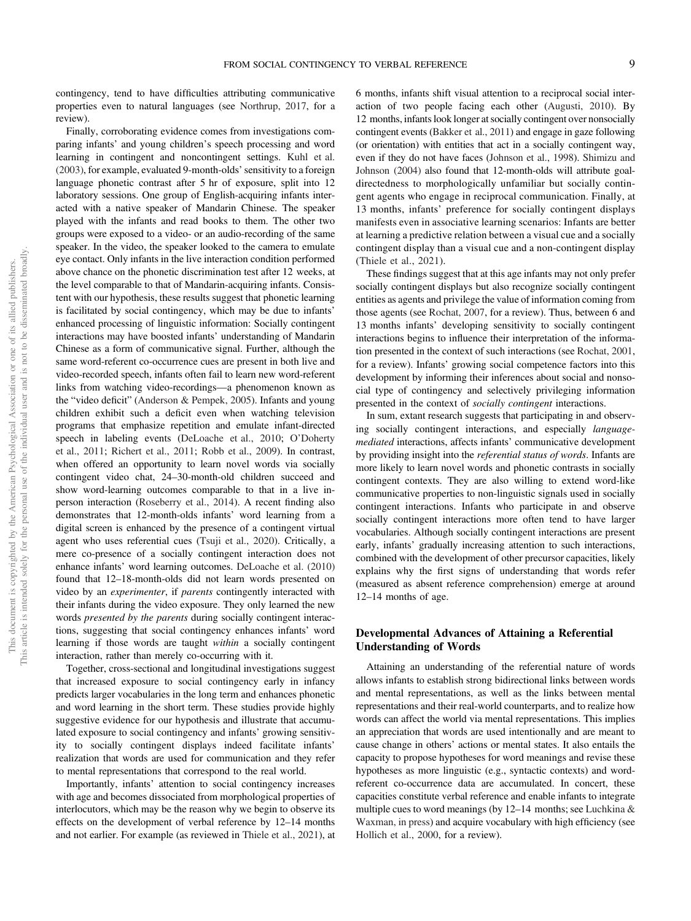contingency, tend to have difficulties attributing communicative properties even to natural languages (see Northrup, 2017, for a review).

Finally, corroborating evidence comes from investigations comparing infants' and young children's speech processing and word learning in contingent and noncontingent settings. Kuhl et al. (2003), for example, evaluated 9-month-olds'sensitivity to a foreign language phonetic contrast after 5 hr of exposure, split into 12 laboratory sessions. One group of English-acquiring infants interacted with a native speaker of Mandarin Chinese. The speaker played with the infants and read books to them. The other two groups were exposed to a video- or an audio-recording of the same speaker. In the video, the speaker looked to the camera to emulate eye contact. Only infants in the live interaction condition performed above chance on the phonetic discrimination test after 12 weeks, at the level comparable to that of Mandarin-acquiring infants. Consistent with our hypothesis, these results suggest that phonetic learning is facilitated by social contingency, which may be due to infants' enhanced processing of linguistic information: Socially contingent interactions may have boosted infants' understanding of Mandarin Chinese as a form of communicative signal. Further, although the same word-referent co-occurrence cues are present in both live and video-recorded speech, infants often fail to learn new word-referent links from watching video-recordings—a phenomenon known as the "video deficit" (Anderson & Pempek, 2005). Infants and young children exhibit such a deficit even when watching television programs that emphasize repetition and emulate infant-directed speech in labeling events (DeLoache et al., 2010; O'Doherty et al., 2011; Richert et al., 2011; Robb et al., 2009). In contrast, when offered an opportunity to learn novel words via socially contingent video chat, 24–30-month-old children succeed and show word-learning outcomes comparable to that in a live inperson interaction (Roseberry et al., 2014). A recent finding also demonstrates that 12-month-olds infants' word learning from a digital screen is enhanced by the presence of a contingent virtual agent who uses referential cues (Tsuji et al., 2020). Critically, a mere co-presence of a socially contingent interaction does not enhance infants' word learning outcomes. DeLoache et al. (2010) found that 12–18-month-olds did not learn words presented on video by an experimenter, if parents contingently interacted with their infants during the video exposure. They only learned the new words presented by the parents during socially contingent interactions, suggesting that social contingency enhances infants' word learning if those words are taught within a socially contingent interaction, rather than merely co-occurring with it.

Together, cross-sectional and longitudinal investigations suggest that increased exposure to social contingency early in infancy predicts larger vocabularies in the long term and enhances phonetic and word learning in the short term. These studies provide highly suggestive evidence for our hypothesis and illustrate that accumulated exposure to social contingency and infants' growing sensitivity to socially contingent displays indeed facilitate infants' realization that words are used for communication and they refer to mental representations that correspond to the real world.

Importantly, infants' attention to social contingency increases with age and becomes dissociated from morphological properties of interlocutors, which may be the reason why we begin to observe its effects on the development of verbal reference by 12–14 months and not earlier. For example (as reviewed in Thiele et al., 2021), at 6 months, infants shift visual attention to a reciprocal social interaction of two people facing each other (Augusti, 2010). By 12 months, infants look longer at socially contingent over nonsocially contingent events (Bakker et al., 2011) and engage in gaze following (or orientation) with entities that act in a socially contingent way, even if they do not have faces (Johnson et al., 1998). Shimizu and Johnson (2004) also found that 12-month-olds will attribute goaldirectedness to morphologically unfamiliar but socially contingent agents who engage in reciprocal communication. Finally, at 13 months, infants' preference for socially contingent displays manifests even in associative learning scenarios: Infants are better at learning a predictive relation between a visual cue and a socially contingent display than a visual cue and a non-contingent display (Thiele et al., 2021).

These findings suggest that at this age infants may not only prefer socially contingent displays but also recognize socially contingent entities as agents and privilege the value of information coming from those agents (see Rochat, 2007, for a review). Thus, between 6 and 13 months infants' developing sensitivity to socially contingent interactions begins to influence their interpretation of the information presented in the context of such interactions (see Rochat, 2001, for a review). Infants' growing social competence factors into this development by informing their inferences about social and nonsocial type of contingency and selectively privileging information presented in the context of socially contingent interactions.

In sum, extant research suggests that participating in and observing socially contingent interactions, and especially languagemediated interactions, affects infants' communicative development by providing insight into the referential status of words. Infants are more likely to learn novel words and phonetic contrasts in socially contingent contexts. They are also willing to extend word-like communicative properties to non-linguistic signals used in socially contingent interactions. Infants who participate in and observe socially contingent interactions more often tend to have larger vocabularies. Although socially contingent interactions are present early, infants' gradually increasing attention to such interactions, combined with the development of other precursor capacities, likely explains why the first signs of understanding that words refer (measured as absent reference comprehension) emerge at around 12–14 months of age.

## Developmental Advances of Attaining a Referential Understanding of Words

Attaining an understanding of the referential nature of words allows infants to establish strong bidirectional links between words and mental representations, as well as the links between mental representations and their real-world counterparts, and to realize how words can affect the world via mental representations. This implies an appreciation that words are used intentionally and are meant to cause change in others' actions or mental states. It also entails the capacity to propose hypotheses for word meanings and revise these hypotheses as more linguistic (e.g., syntactic contexts) and wordreferent co-occurrence data are accumulated. In concert, these capacities constitute verbal reference and enable infants to integrate multiple cues to word meanings (by 12–14 months; see Luchkina & Waxman, in press) and acquire vocabulary with high efficiency (see Hollich et al., 2000, for a review).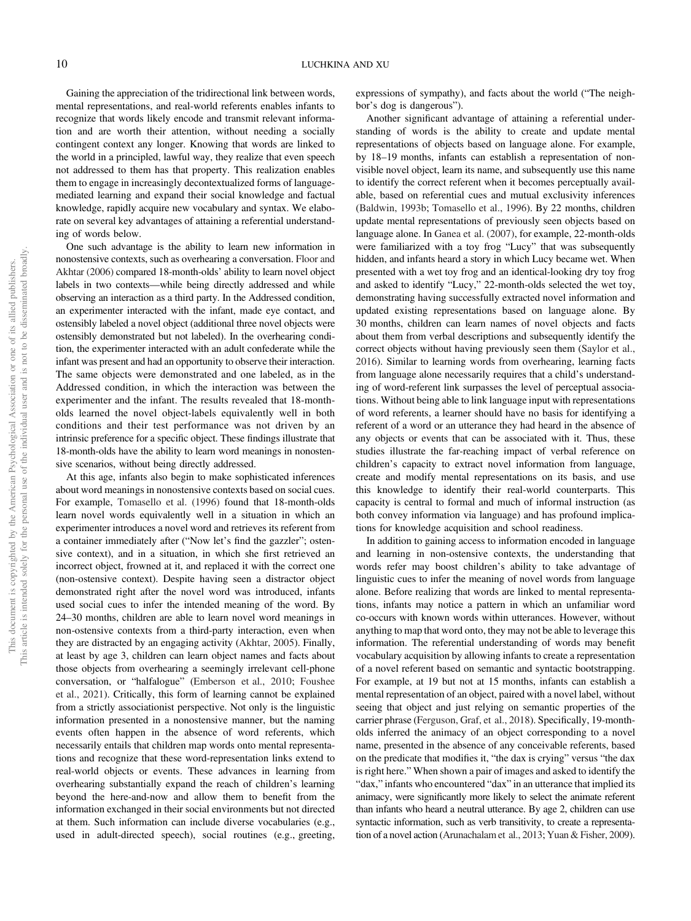Gaining the appreciation of the tridirectional link between words, mental representations, and real-world referents enables infants to recognize that words likely encode and transmit relevant information and are worth their attention, without needing a socially contingent context any longer. Knowing that words are linked to the world in a principled, lawful way, they realize that even speech not addressed to them has that property. This realization enables them to engage in increasingly decontextualized forms of languagemediated learning and expand their social knowledge and factual knowledge, rapidly acquire new vocabulary and syntax. We elaborate on several key advantages of attaining a referential understanding of words below.

One such advantage is the ability to learn new information in nonostensive contexts, such as overhearing a conversation. Floor and Akhtar (2006) compared 18-month-olds' ability to learn novel object labels in two contexts—while being directly addressed and while observing an interaction as a third party. In the Addressed condition, an experimenter interacted with the infant, made eye contact, and ostensibly labeled a novel object (additional three novel objects were ostensibly demonstrated but not labeled). In the overhearing condition, the experimenter interacted with an adult confederate while the infant was present and had an opportunity to observe their interaction. The same objects were demonstrated and one labeled, as in the Addressed condition, in which the interaction was between the experimenter and the infant. The results revealed that 18-montholds learned the novel object-labels equivalently well in both conditions and their test performance was not driven by an intrinsic preference for a specific object. These findings illustrate that 18-month-olds have the ability to learn word meanings in nonostensive scenarios, without being directly addressed.

At this age, infants also begin to make sophisticated inferences about word meanings in nonostensive contexts based on social cues. For example, Tomasello et al. (1996) found that 18-month-olds learn novel words equivalently well in a situation in which an experimenter introduces a novel word and retrieves its referent from a container immediately after ("Now let's find the gazzler"; ostensive context), and in a situation, in which she first retrieved an incorrect object, frowned at it, and replaced it with the correct one (non-ostensive context). Despite having seen a distractor object demonstrated right after the novel word was introduced, infants used social cues to infer the intended meaning of the word. By 24–30 months, children are able to learn novel word meanings in non-ostensive contexts from a third-party interaction, even when they are distracted by an engaging activity (Akhtar, 2005). Finally, at least by age 3, children can learn object names and facts about those objects from overhearing a seemingly irrelevant cell-phone conversation, or "halfalogue" (Emberson et al., 2010; Foushee et al., 2021). Critically, this form of learning cannot be explained from a strictly associationist perspective. Not only is the linguistic information presented in a nonostensive manner, but the naming events often happen in the absence of word referents, which necessarily entails that children map words onto mental representations and recognize that these word-representation links extend to real-world objects or events. These advances in learning from overhearing substantially expand the reach of children's learning beyond the here-and-now and allow them to benefit from the information exchanged in their social environments but not directed at them. Such information can include diverse vocabularies (e.g., used in adult-directed speech), social routines (e.g., greeting, expressions of sympathy), and facts about the world ("The neighbor's dog is dangerous").

Another significant advantage of attaining a referential understanding of words is the ability to create and update mental representations of objects based on language alone. For example, by 18–19 months, infants can establish a representation of nonvisible novel object, learn its name, and subsequently use this name to identify the correct referent when it becomes perceptually available, based on referential cues and mutual exclusivity inferences (Baldwin, 1993b; Tomasello et al., 1996). By 22 months, children update mental representations of previously seen objects based on language alone. In Ganea et al. (2007), for example, 22-month-olds were familiarized with a toy frog "Lucy" that was subsequently hidden, and infants heard a story in which Lucy became wet. When presented with a wet toy frog and an identical-looking dry toy frog and asked to identify "Lucy," 22-month-olds selected the wet toy, demonstrating having successfully extracted novel information and updated existing representations based on language alone. By 30 months, children can learn names of novel objects and facts about them from verbal descriptions and subsequently identify the correct objects without having previously seen them (Saylor et al., 2016). Similar to learning words from overhearing, learning facts from language alone necessarily requires that a child's understanding of word-referent link surpasses the level of perceptual associations. Without being able to link language input with representations of word referents, a learner should have no basis for identifying a referent of a word or an utterance they had heard in the absence of any objects or events that can be associated with it. Thus, these studies illustrate the far-reaching impact of verbal reference on children's capacity to extract novel information from language, create and modify mental representations on its basis, and use this knowledge to identify their real-world counterparts. This capacity is central to formal and much of informal instruction (as both convey information via language) and has profound implications for knowledge acquisition and school readiness.

In addition to gaining access to information encoded in language and learning in non-ostensive contexts, the understanding that words refer may boost children's ability to take advantage of linguistic cues to infer the meaning of novel words from language alone. Before realizing that words are linked to mental representations, infants may notice a pattern in which an unfamiliar word co-occurs with known words within utterances. However, without anything to map that word onto, they may not be able to leverage this information. The referential understanding of words may benefit vocabulary acquisition by allowing infants to create a representation of a novel referent based on semantic and syntactic bootstrapping. For example, at 19 but not at 15 months, infants can establish a mental representation of an object, paired with a novel label, without seeing that object and just relying on semantic properties of the carrier phrase (Ferguson, Graf, et al., 2018). Specifically, 19-montholds inferred the animacy of an object corresponding to a novel name, presented in the absence of any conceivable referents, based on the predicate that modifies it, "the dax is crying" versus "the dax is right here." When shown a pair of images and asked to identify the "dax," infants who encountered "dax" in an utterance that implied its animacy, were significantly more likely to select the animate referent than infants who heard a neutral utterance. By age 2, children can use syntactic information, such as verb transitivity, to create a representation of a novel action (Arunachalam et al., 2013; Yuan & Fisher, 2009).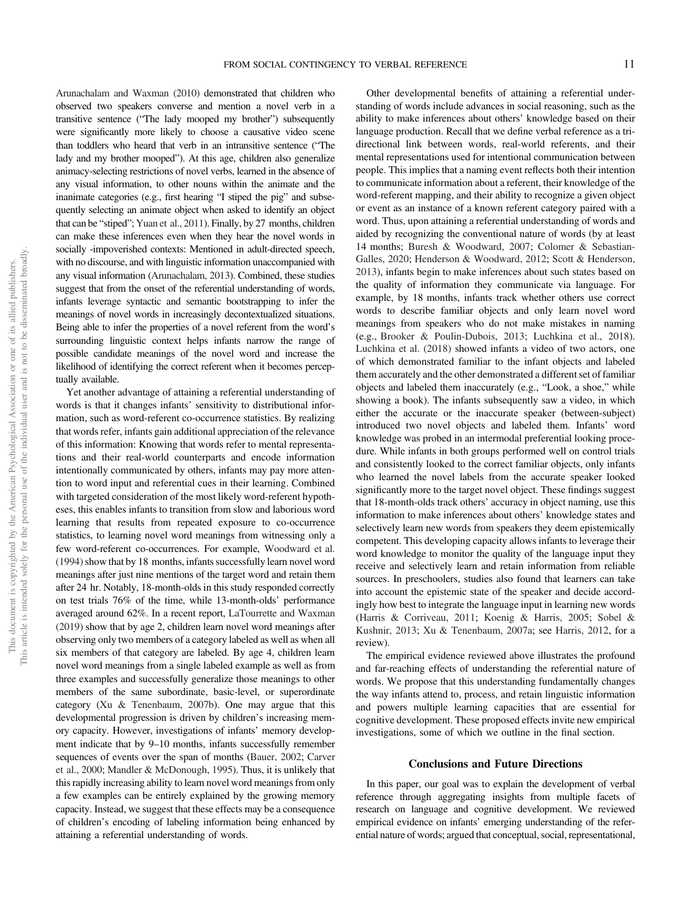Arunachalam and Waxman (2010) demonstrated that children who observed two speakers converse and mention a novel verb in a transitive sentence ("The lady mooped my brother") subsequently were significantly more likely to choose a causative video scene than toddlers who heard that verb in an intransitive sentence ("The lady and my brother mooped"). At this age, children also generalize animacy-selecting restrictions of novel verbs, learned in the absence of any visual information, to other nouns within the animate and the inanimate categories (e.g., first hearing "I stiped the pig" and subsequently selecting an animate object when asked to identify an object that can be "stiped"; Yuan et al., 2011). Finally, by 27 months, children can make these inferences even when they hear the novel words in socially -impoverished contexts: Mentioned in adult-directed speech, with no discourse, and with linguistic information unaccompanied with any visual information (Arunachalam, 2013). Combined, these studies suggest that from the onset of the referential understanding of words, infants leverage syntactic and semantic bootstrapping to infer the meanings of novel words in increasingly decontextualized situations. Being able to infer the properties of a novel referent from the word's surrounding linguistic context helps infants narrow the range of possible candidate meanings of the novel word and increase the likelihood of identifying the correct referent when it becomes perceptually available.

Yet another advantage of attaining a referential understanding of words is that it changes infants' sensitivity to distributional information, such as word-referent co-occurrence statistics. By realizing that words refer, infants gain additional appreciation of the relevance of this information: Knowing that words refer to mental representations and their real-world counterparts and encode information intentionally communicated by others, infants may pay more attention to word input and referential cues in their learning. Combined with targeted consideration of the most likely word-referent hypotheses, this enables infants to transition from slow and laborious word learning that results from repeated exposure to co-occurrence statistics, to learning novel word meanings from witnessing only a few word-referent co-occurrences. For example, Woodward et al.  $(1994)$  show that by 18 months, infants successfully learn novel word meanings after just nine mentions of the target word and retain them after 24 hr. Notably, 18-month-olds in this study responded correctly on test trials 76% of the time, while 13-month-olds' performance averaged around 62%. In a recent report, LaTourrette and Waxman (2019) show that by age 2, children learn novel word meanings after observing only two members of a category labeled as well as when all six members of that category are labeled. By age 4, children learn novel word meanings from a single labeled example as well as from three examples and successfully generalize those meanings to other members of the same subordinate, basic-level, or superordinate category (Xu & Tenenbaum, 2007b). One may argue that this developmental progression is driven by children's increasing memory capacity. However, investigations of infants' memory development indicate that by 9–10 months, infants successfully remember sequences of events over the span of months (Bauer, 2002; Carver et al., 2000; Mandler & McDonough, 1995). Thus, it is unlikely that this rapidly increasing ability to learn novel word meanings from only a few examples can be entirely explained by the growing memory capacity. Instead, we suggest that these effects may be a consequence of children's encoding of labeling information being enhanced by attaining a referential understanding of words.

Other developmental benefits of attaining a referential understanding of words include advances in social reasoning, such as the ability to make inferences about others' knowledge based on their language production. Recall that we define verbal reference as a tridirectional link between words, real-world referents, and their mental representations used for intentional communication between people. This implies that a naming event reflects both their intention to communicate information about a referent, their knowledge of the word-referent mapping, and their ability to recognize a given object or event as an instance of a known referent category paired with a word. Thus, upon attaining a referential understanding of words and aided by recognizing the conventional nature of words (by at least 14 months; Buresh & Woodward, 2007; Colomer & Sebastian-Galles, 2020; Henderson & Woodward, 2012; Scott & Henderson, 2013), infants begin to make inferences about such states based on the quality of information they communicate via language. For example, by 18 months, infants track whether others use correct words to describe familiar objects and only learn novel word meanings from speakers who do not make mistakes in naming (e.g., Brooker & Poulin-Dubois, 2013; Luchkina et al., 2018). Luchkina et al. (2018) showed infants a video of two actors, one of which demonstrated familiar to the infant objects and labeled them accurately and the other demonstrated a different set of familiar objects and labeled them inaccurately (e.g., "Look, a shoe," while showing a book). The infants subsequently saw a video, in which either the accurate or the inaccurate speaker (between-subject) introduced two novel objects and labeled them. Infants' word knowledge was probed in an intermodal preferential looking procedure. While infants in both groups performed well on control trials and consistently looked to the correct familiar objects, only infants who learned the novel labels from the accurate speaker looked significantly more to the target novel object. These findings suggest that 18-month-olds track others' accuracy in object naming, use this information to make inferences about others' knowledge states and selectively learn new words from speakers they deem epistemically competent. This developing capacity allows infants to leverage their word knowledge to monitor the quality of the language input they receive and selectively learn and retain information from reliable sources. In preschoolers, studies also found that learners can take into account the epistemic state of the speaker and decide accordingly how best to integrate the language input in learning new words (Harris & Corriveau, 2011; Koenig & Harris, 2005; Sobel & Kushnir, 2013; Xu & Tenenbaum, 2007a; see Harris, 2012, for a review).

The empirical evidence reviewed above illustrates the profound and far-reaching effects of understanding the referential nature of words. We propose that this understanding fundamentally changes the way infants attend to, process, and retain linguistic information and powers multiple learning capacities that are essential for cognitive development. These proposed effects invite new empirical investigations, some of which we outline in the final section.

#### Conclusions and Future Directions

In this paper, our goal was to explain the development of verbal reference through aggregating insights from multiple facets of research on language and cognitive development. We reviewed empirical evidence on infants' emerging understanding of the referential nature of words; argued that conceptual, social, representational,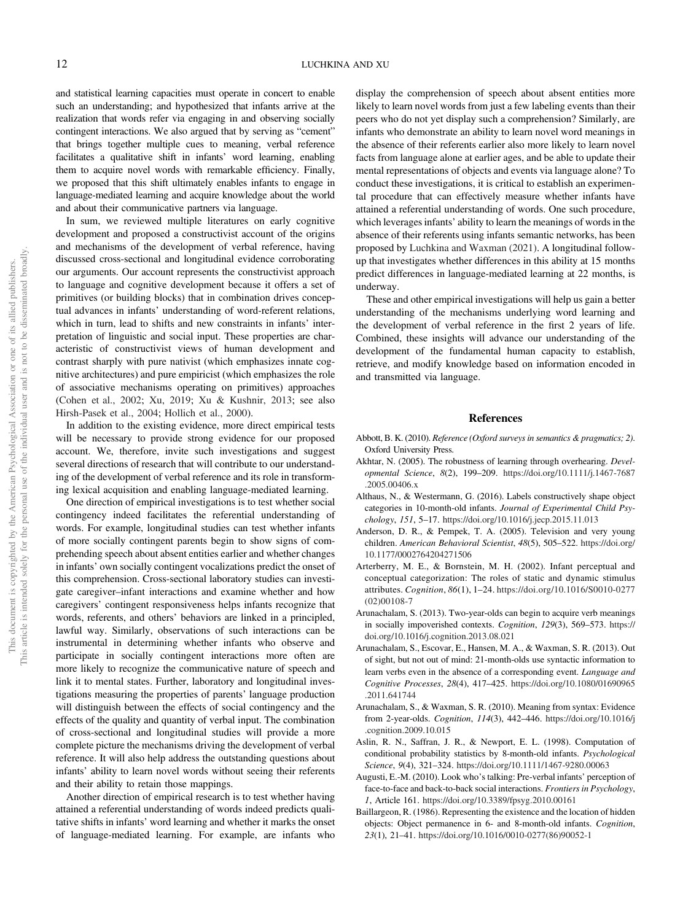and statistical learning capacities must operate in concert to enable such an understanding; and hypothesized that infants arrive at the realization that words refer via engaging in and observing socially contingent interactions. We also argued that by serving as "cement" that brings together multiple cues to meaning, verbal reference facilitates a qualitative shift in infants' word learning, enabling them to acquire novel words with remarkable efficiency. Finally, we proposed that this shift ultimately enables infants to engage in language-mediated learning and acquire knowledge about the world and about their communicative partners via language.

In sum, we reviewed multiple literatures on early cognitive development and proposed a constructivist account of the origins and mechanisms of the development of verbal reference, having discussed cross-sectional and longitudinal evidence corroborating our arguments. Our account represents the constructivist approach to language and cognitive development because it offers a set of primitives (or building blocks) that in combination drives conceptual advances in infants' understanding of word-referent relations, which in turn, lead to shifts and new constraints in infants' interpretation of linguistic and social input. These properties are characteristic of constructivist views of human development and contrast sharply with pure nativist (which emphasizes innate cognitive architectures) and pure empiricist (which emphasizes the role of associative mechanisms operating on primitives) approaches (Cohen et al., 2002; Xu, 2019; Xu & Kushnir, 2013; see also Hirsh-Pasek et al., 2004; Hollich et al., 2000).

In addition to the existing evidence, more direct empirical tests will be necessary to provide strong evidence for our proposed account. We, therefore, invite such investigations and suggest several directions of research that will contribute to our understanding of the development of verbal reference and its role in transforming lexical acquisition and enabling language-mediated learning.

One direction of empirical investigations is to test whether social contingency indeed facilitates the referential understanding of words. For example, longitudinal studies can test whether infants of more socially contingent parents begin to show signs of comprehending speech about absent entities earlier and whether changes in infants' own socially contingent vocalizations predict the onset of this comprehension. Cross-sectional laboratory studies can investigate caregiver–infant interactions and examine whether and how caregivers' contingent responsiveness helps infants recognize that words, referents, and others' behaviors are linked in a principled, lawful way. Similarly, observations of such interactions can be instrumental in determining whether infants who observe and participate in socially contingent interactions more often are more likely to recognize the communicative nature of speech and link it to mental states. Further, laboratory and longitudinal investigations measuring the properties of parents' language production will distinguish between the effects of social contingency and the effects of the quality and quantity of verbal input. The combination of cross-sectional and longitudinal studies will provide a more complete picture the mechanisms driving the development of verbal reference. It will also help address the outstanding questions about infants' ability to learn novel words without seeing their referents and their ability to retain those mappings.

Another direction of empirical research is to test whether having attained a referential understanding of words indeed predicts qualitative shifts in infants' word learning and whether it marks the onset of language-mediated learning. For example, are infants who display the comprehension of speech about absent entities more likely to learn novel words from just a few labeling events than their peers who do not yet display such a comprehension? Similarly, are infants who demonstrate an ability to learn novel word meanings in the absence of their referents earlier also more likely to learn novel facts from language alone at earlier ages, and be able to update their mental representations of objects and events via language alone? To conduct these investigations, it is critical to establish an experimental procedure that can effectively measure whether infants have attained a referential understanding of words. One such procedure, which leverages infants' ability to learn the meanings of words in the absence of their referents using infants semantic networks, has been proposed by Luchkina and Waxman (2021). A longitudinal followup that investigates whether differences in this ability at 15 months predict differences in language-mediated learning at 22 months, is underway.

These and other empirical investigations will help us gain a better understanding of the mechanisms underlying word learning and the development of verbal reference in the first 2 years of life. Combined, these insights will advance our understanding of the development of the fundamental human capacity to establish, retrieve, and modify knowledge based on information encoded in and transmitted via language.

#### References

- Abbott, B. K. (2010). Reference (Oxford surveys in semantics & pragmatics; 2). Oxford University Press.
- Akhtar, N. (2005). The robustness of learning through overhearing. Developmental Science, 8(2), 199–209. [https://doi.org/10.1111/j.1467-7687](https://doi.org/10.1111/j.1467-7687.2005.00406.x) [.2005.00406.x](https://doi.org/10.1111/j.1467-7687.2005.00406.x)
- Althaus, N., & Westermann, G. (2016). Labels constructively shape object categories in 10-month-old infants. Journal of Experimental Child Psychology, 151, 5–17. <https://doi.org/10.1016/j.jecp.2015.11.013>
- Anderson, D. R., & Pempek, T. A. (2005). Television and very young children. American Behavioral Scientist, 48(5), 505–522. [https://doi.org/](https://doi.org/10.1177/0002764204271506) [10.1177/0002764204271506](https://doi.org/10.1177/0002764204271506)
- Arterberry, M. E., & Bornstein, M. H. (2002). Infant perceptual and conceptual categorization: The roles of static and dynamic stimulus attributes. Cognition, 86(1), 1–24. [https://doi.org/10.1016/S0010-0277](https://doi.org/10.1016/S0010-0277(02)00108-7) [\(02\)00108-7](https://doi.org/10.1016/S0010-0277(02)00108-7)
- Arunachalam, S. (2013). Two-year-olds can begin to acquire verb meanings in socially impoverished contexts. Cognition, 129(3), 569–573. [https://](https://doi.org/10.1016/j.cognition.2013.08.021) [doi.org/10.1016/j.cognition.2013.08.021](https://doi.org/10.1016/j.cognition.2013.08.021)
- Arunachalam, S., Escovar, E., Hansen, M. A., & Waxman, S. R. (2013). Out of sight, but not out of mind: 21-month-olds use syntactic information to learn verbs even in the absence of a corresponding event. Language and Cognitive Processes, 28(4), 417–425. [https://doi.org/10.1080/01690965](https://doi.org/10.1080/01690965.2011.641744) [.2011.641744](https://doi.org/10.1080/01690965.2011.641744)
- Arunachalam, S., & Waxman, S. R. (2010). Meaning from syntax: Evidence from 2-year-olds. Cognition, 114(3), 442–446. [https://doi.org/10.1016/j](https://doi.org/10.1016/j.cognition.2009.10.015) [.cognition.2009.10.015](https://doi.org/10.1016/j.cognition.2009.10.015)
- Aslin, R. N., Saffran, J. R., & Newport, E. L. (1998). Computation of conditional probability statistics by 8-month-old infants. Psychological Science, 9(4), 321–324. <https://doi.org/10.1111/1467-9280.00063>
- Augusti, E.-M. (2010). Look who's talking: Pre-verbal infants' perception of face-to-face and back-to-back social interactions. Frontiers in Psychology, 1, Article 161. <https://doi.org/10.3389/fpsyg.2010.00161>
- Baillargeon, R. (1986). Representing the existence and the location of hidden objects: Object permanence in 6- and 8-month-old infants. Cognition, 23(1), 21–41. [https://doi.org/10.1016/0010-0277\(86\)90052-1](https://doi.org/10.1016/0010-0277(86)90052-1)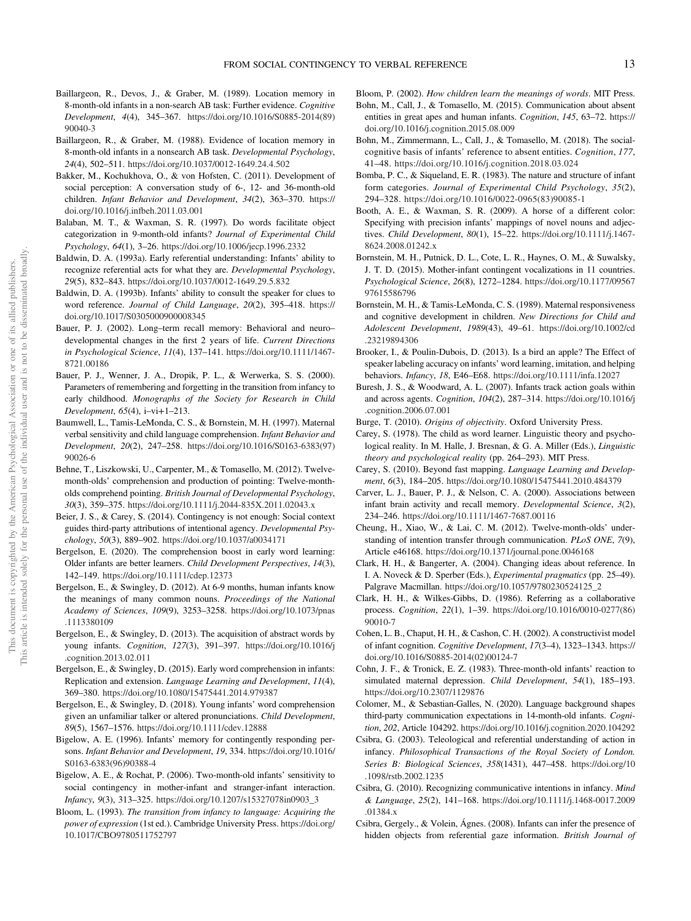- Baillargeon, R., Devos, J., & Graber, M. (1989). Location memory in 8-month-old infants in a non-search AB task: Further evidence. Cognitive Development, 4(4), 345–367. [https://doi.org/10.1016/S0885-2014\(89\)](https://doi.org/10.1016/S0885-2014(89)90040-3) [90040-3](https://doi.org/10.1016/S0885-2014(89)90040-3)
- Baillargeon, R., & Graber, M. (1988). Evidence of location memory in 8-month-old infants in a nonsearch AB task. Developmental Psychology, 24(4), 502–511. <https://doi.org/10.1037/0012-1649.24.4.502>
- Bakker, M., Kochukhova, O., & von Hofsten, C. (2011). Development of social perception: A conversation study of 6-, 12- and 36-month-old children. Infant Behavior and Development, 34(2), 363–370. [https://](https://doi.org/10.1016/j.infbeh.2011.03.001) [doi.org/10.1016/j.infbeh.2011.03.001](https://doi.org/10.1016/j.infbeh.2011.03.001)
- Balaban, M. T., & Waxman, S. R. (1997). Do words facilitate object categorization in 9-month-old infants? Journal of Experimental Child Psychology, 64(1), 3–26. <https://doi.org/10.1006/jecp.1996.2332>
- Baldwin, D. A. (1993a). Early referential understanding: Infants' ability to recognize referential acts for what they are. Developmental Psychology, 29(5), 832–843. <https://doi.org/10.1037/0012-1649.29.5.832>
- Baldwin, D. A. (1993b). Infants' ability to consult the speaker for clues to word reference. Journal of Child Language, 20(2), 395–418. [https://](https://doi.org/10.1017/S0305000900008345) [doi.org/10.1017/S0305000900008345](https://doi.org/10.1017/S0305000900008345)
- Bauer, P. J. (2002). Long–term recall memory: Behavioral and neuro– developmental changes in the first 2 years of life. Current Directions in Psychological Science, 11(4), 137–141. [https://doi.org/10.1111/1467-](https://doi.org/10.1111/1467-8721.00186) [8721.00186](https://doi.org/10.1111/1467-8721.00186)
- Bauer, P. J., Wenner, J. A., Dropik, P. L., & Werwerka, S. S. (2000). Parameters of remembering and forgetting in the transition from infancy to early childhood. Monographs of the Society for Research in Child Development, 65(4), i–vi+1–213.
- Baumwell, L., Tamis-LeMonda, C. S., & Bornstein, M. H. (1997). Maternal verbal sensitivity and child language comprehension. Infant Behavior and Development, 20(2), 247–258. [https://doi.org/10.1016/S0163-6383\(97\)](https://doi.org/10.1016/S0163-6383(97)90026-6) [90026-6](https://doi.org/10.1016/S0163-6383(97)90026-6)
- Behne, T., Liszkowski, U., Carpenter, M., & Tomasello, M. (2012). Twelvemonth-olds' comprehension and production of pointing: Twelve-montholds comprehend pointing. British Journal of Developmental Psychology, 30(3), 359–375. <https://doi.org/10.1111/j.2044-835X.2011.02043.x>
- Beier, J. S., & Carey, S. (2014). Contingency is not enough: Social context guides third-party attributions of intentional agency. Developmental Psychology, 50(3), 889–902. <https://doi.org/10.1037/a0034171>
- Bergelson, E. (2020). The comprehension boost in early word learning: Older infants are better learners. Child Development Perspectives, 14(3), 142–149. <https://doi.org/10.1111/cdep.12373>
- Bergelson, E., & Swingley, D. (2012). At 6-9 months, human infants know the meanings of many common nouns. Proceedings of the National Academy of Sciences, 109(9), 3253–3258. [https://doi.org/10.1073/pnas](https://doi.org/10.1073/pnas.1113380109) [.1113380109](https://doi.org/10.1073/pnas.1113380109)
- Bergelson, E., & Swingley, D. (2013). The acquisition of abstract words by young infants. Cognition, 127(3), 391–397. [https://doi.org/10.1016/j](https://doi.org/10.1016/j.cognition.2013.02.011) [.cognition.2013.02.011](https://doi.org/10.1016/j.cognition.2013.02.011)
- Bergelson, E., & Swingley, D. (2015). Early word comprehension in infants: Replication and extension. Language Learning and Development, 11(4), 369–380. <https://doi.org/10.1080/15475441.2014.979387>
- Bergelson, E., & Swingley, D. (2018). Young infants' word comprehension given an unfamiliar talker or altered pronunciations. Child Development, 89(5), 1567–1576. <https://doi.org/10.1111/cdev.12888>
- Bigelow, A. E. (1996). Infants' memory for contingently responding persons. Infant Behavior and Development, 19, 334. [https://doi.org/10.1016/](https://doi.org/10.1016/S0163-6383(96)90388-4) [S0163-6383\(96\)90388-4](https://doi.org/10.1016/S0163-6383(96)90388-4)
- Bigelow, A. E., & Rochat, P. (2006). Two-month-old infants' sensitivity to social contingency in mother-infant and stranger-infant interaction. Infancy, 9(3), 313–325. [https://doi.org/10.1207/s15327078in0903\\_3](https://doi.org/10.1207/s15327078in0903_3)
- Bloom, L. (1993). The transition from infancy to language: Acquiring the power of expression (1st ed.). Cambridge University Press. [https://doi.org/](https://doi.org/10.1017/CBO9780511752797) [10.1017/CBO9780511752797](https://doi.org/10.1017/CBO9780511752797)

Bloom, P. (2002). How children learn the meanings of words. MIT Press.

- Bohn, M., Call, J., & Tomasello, M. (2015). Communication about absent entities in great apes and human infants. Cognition, 145, 63–72. [https://](https://doi.org/10.1016/j.cognition.2015.08.009) [doi.org/10.1016/j.cognition.2015.08.009](https://doi.org/10.1016/j.cognition.2015.08.009)
- Bohn, M., Zimmermann, L., Call, J., & Tomasello, M. (2018). The socialcognitive basis of infants' reference to absent entities. Cognition, 177, 41–48. <https://doi.org/10.1016/j.cognition.2018.03.024>
- Bomba, P. C., & Siqueland, E. R. (1983). The nature and structure of infant form categories. Journal of Experimental Child Psychology, 35(2), 294–328. [https://doi.org/10.1016/0022-0965\(83\)90085-1](https://doi.org/10.1016/0022-0965(83)90085-1)
- Booth, A. E., & Waxman, S. R. (2009). A horse of a different color: Specifying with precision infants' mappings of novel nouns and adjectives. Child Development, 80(1), 15–22. [https://doi.org/10.1111/j.1467-](https://doi.org/10.1111/j.1467-8624.2008.01242.x) [8624.2008.01242.x](https://doi.org/10.1111/j.1467-8624.2008.01242.x)
- Bornstein, M. H., Putnick, D. L., Cote, L. R., Haynes, O. M., & Suwalsky, J. T. D. (2015). Mother-infant contingent vocalizations in 11 countries. Psychological Science, 26(8), 1272–1284. [https://doi.org/10.1177/09567](https://doi.org/10.1177/0956797615586796) [97615586796](https://doi.org/10.1177/0956797615586796)
- Bornstein, M. H., & Tamis-LeMonda, C. S. (1989). Maternal responsiveness and cognitive development in children. New Directions for Child and Adolescent Development, 1989(43), 49–61. [https://doi.org/10.1002/cd](https://doi.org/10.1002/cd.23219894306) [.23219894306](https://doi.org/10.1002/cd.23219894306)
- Brooker, I., & Poulin-Dubois, D. (2013). Is a bird an apple? The Effect of speaker labeling accuracy on infants' word learning, imitation, and helping behaviors. Infancy, 18, E46–E68. <https://doi.org/10.1111/infa.12027>
- Buresh, J. S., & Woodward, A. L. (2007). Infants track action goals within and across agents. Cognition, 104(2), 287–314. [https://doi.org/10.1016/j](https://doi.org/10.1016/j.cognition.2006.07.001) [.cognition.2006.07.001](https://doi.org/10.1016/j.cognition.2006.07.001)
- Burge, T. (2010). Origins of objectivity. Oxford University Press.
- Carey, S. (1978). The child as word learner. Linguistic theory and psychological reality. In M. Halle, J. Bresnan, & G. A. Miller (Eds.), Linguistic theory and psychological reality (pp. 264–293). MIT Press.
- Carey, S. (2010). Beyond fast mapping. Language Learning and Development, 6(3), 184–205. <https://doi.org/10.1080/15475441.2010.484379>
- Carver, L. J., Bauer, P. J., & Nelson, C. A. (2000). Associations between infant brain activity and recall memory. Developmental Science, 3(2), 234–246. <https://doi.org/10.1111/1467-7687.00116>
- Cheung, H., Xiao, W., & Lai, C. M. (2012). Twelve-month-olds' understanding of intention transfer through communication. PLoS ONE, 7(9), Article e46168. <https://doi.org/10.1371/journal.pone.0046168>
- Clark, H. H., & Bangerter, A. (2004). Changing ideas about reference. In I. A. Noveck & D. Sperber (Eds.), Experimental pragmatics (pp. 25–49). Palgrave Macmillan. [https://doi.org/10.1057/9780230524125\\_2](https://doi.org/10.1057/9780230524125_2)
- Clark, H. H., & Wilkes-Gibbs, D. (1986). Referring as a collaborative process. Cognition, 22(1), 1–39. [https://doi.org/10.1016/0010-0277\(86\)](https://doi.org/10.1016/0010-0277(86)90010-7) [90010-7](https://doi.org/10.1016/0010-0277(86)90010-7)
- Cohen, L. B., Chaput, H. H., & Cashon, C. H. (2002). A constructivist model of infant cognition. Cognitive Development, 17(3–4), 1323–1343. [https://](https://doi.org/10.1016/S0885-2014(02)00124-7) [doi.org/10.1016/S0885-2014\(02\)00124-7](https://doi.org/10.1016/S0885-2014(02)00124-7)
- Cohn, J. F., & Tronick, E. Z. (1983). Three-month-old infants' reaction to simulated maternal depression. Child Development, 54(1), 185–193. <https://doi.org/10.2307/1129876>
- Colomer, M., & Sebastian-Galles, N. (2020). Language background shapes third-party communication expectations in 14-month-old infants. Cognition, 202, Article 104292. <https://doi.org/10.1016/j.cognition.2020.104292>
- Csibra, G. (2003). Teleological and referential understanding of action in infancy. Philosophical Transactions of the Royal Society of London. Series B: Biological Sciences, 358(1431), 447–458. [https://doi.org/10](https://doi.org/10.1098/rstb.2002.1235) [.1098/rstb.2002.1235](https://doi.org/10.1098/rstb.2002.1235)
- Csibra, G. (2010). Recognizing communicative intentions in infancy. Mind & Language, 25(2), 141–168. [https://doi.org/10.1111/j.1468-0017.2009](https://doi.org/10.1111/j.1468-0017.2009.01384.x) [.01384.x](https://doi.org/10.1111/j.1468-0017.2009.01384.x)
- Csibra, Gergely., & Volein, Ágnes. (2008). Infants can infer the presence of hidden objects from referential gaze information. British Journal of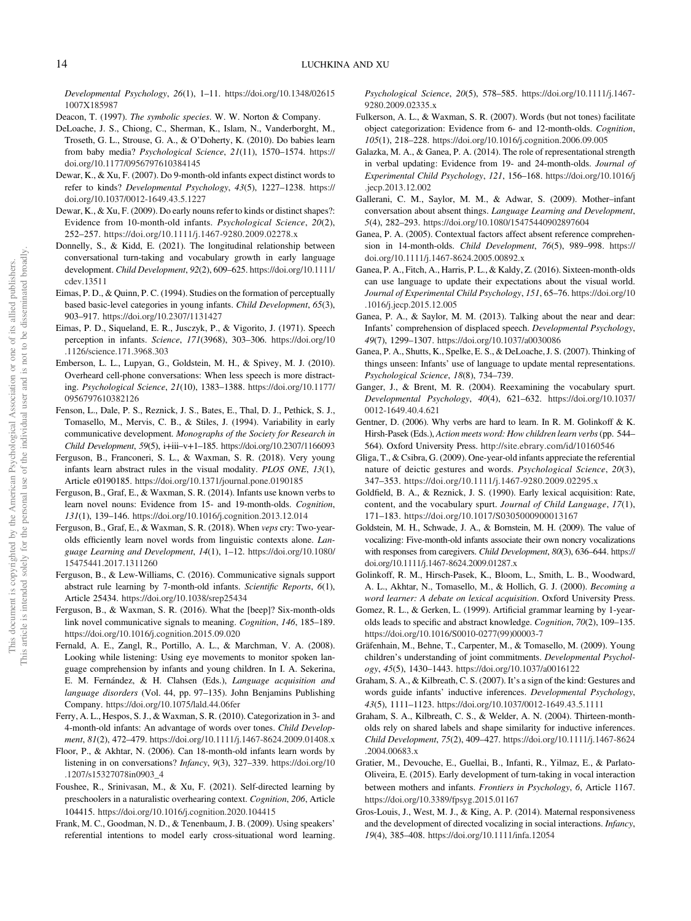<span id="page-14-0"></span>Developmental Psychology, 26(1), 1–11. [https://doi.org/10.1348/02615](https://doi.org/10.1348/026151007X185987) [1007X185987](https://doi.org/10.1348/026151007X185987)

- Deacon, T. (1997). The symbolic species. W. W. Norton & Company.
- DeLoache, J. S., Chiong, C., Sherman, K., Islam, N., Vanderborght, M., Troseth, G. L., Strouse, G. A., & O'Doherty, K. (2010). Do babies learn from baby media? Psychological Science, 21(11), 1570–1574. [https://](https://doi.org/10.1177/0956797610384145) [doi.org/10.1177/0956797610384145](https://doi.org/10.1177/0956797610384145)
- Dewar, K., & Xu, F. (2007). Do 9-month-old infants expect distinct words to refer to kinds? Developmental Psychology, 43(5), 1227–1238. [https://](https://doi.org/10.1037/0012-1649.43.5.1227) [doi.org/10.1037/0012-1649.43.5.1227](https://doi.org/10.1037/0012-1649.43.5.1227)
- Dewar, K., & Xu, F. (2009). Do early nouns refer to kinds or distinct shapes?: Evidence from 10-month-old infants. Psychological Science, 20(2), 252–257. <https://doi.org/10.1111/j.1467-9280.2009.02278.x>
- Donnelly, S., & Kidd, E. (2021). The longitudinal relationship between conversational turn‐taking and vocabulary growth in early language development. Child Development, 92(2), 609–625. [https://doi.org/10.1111/](https://doi.org/10.1111/cdev.13511) [cdev.13511](https://doi.org/10.1111/cdev.13511)
- Eimas, P. D., & Quinn, P. C. (1994). Studies on the formation of perceptually based basic-level categories in young infants. Child Development, 65(3), 903–917. <https://doi.org/10.2307/1131427>
- Eimas, P. D., Siqueland, E. R., Jusczyk, P., & Vigorito, J. (1971). Speech perception in infants. Science, 171(3968), 303–306. [https://doi.org/10](https://doi.org/10.1126/science.171.3968.303) [.1126/science.171.3968.303](https://doi.org/10.1126/science.171.3968.303)
- Emberson, L. L., Lupyan, G., Goldstein, M. H., & Spivey, M. J. (2010). Overheard cell-phone conversations: When less speech is more distracting. Psychological Science, 21(10), 1383–1388. [https://doi.org/10.1177/](https://doi.org/10.1177/0956797610382126) [0956797610382126](https://doi.org/10.1177/0956797610382126)
- Fenson, L., Dale, P. S., Reznick, J. S., Bates, E., Thal, D. J., Pethick, S. J., Tomasello, M., Mervis, C. B., & Stiles, J. (1994). Variability in early communicative development. Monographs of the Society for Research in Child Development, 59(5), i+iii–v+1–185. <https://doi.org/10.2307/1166093>
- Ferguson, B., Franconeri, S. L., & Waxman, S. R. (2018). Very young infants learn abstract rules in the visual modality. PLOS ONE, 13(1), Article e0190185. <https://doi.org/10.1371/journal.pone.0190185>
- Ferguson, B., Graf, E., & Waxman, S. R. (2014). Infants use known verbs to learn novel nouns: Evidence from 15- and 19-month-olds. Cognition, 131(1), 139–146. <https://doi.org/10.1016/j.cognition.2013.12.014>
- Ferguson, B., Graf, E., & Waxman, S. R. (2018). When veps cry: Two-yearolds efficiently learn novel words from linguistic contexts alone. Language Learning and Development, 14(1), 1–12. [https://doi.org/10.1080/](https://doi.org/10.1080/15475441.2017.1311260) [15475441.2017.1311260](https://doi.org/10.1080/15475441.2017.1311260)
- Ferguson, B., & Lew-Williams, C. (2016). Communicative signals support abstract rule learning by 7-month-old infants. Scientific Reports, 6(1), Article 25434. <https://doi.org/10.1038/srep25434>
- Ferguson, B., & Waxman, S. R. (2016). What the [beep]? Six-month-olds link novel communicative signals to meaning. Cognition, 146, 185–189. <https://doi.org/10.1016/j.cognition.2015.09.020>
- Fernald, A. E., Zangl, R., Portillo, A. L., & Marchman, V. A. (2008). Looking while listening: Using eye movements to monitor spoken language comprehension by infants and young children. In I. A. Sekerina, E. M. Fernández, & H. Clahsen (Eds.), Language acquisition and language disorders (Vol. 44, pp. 97–135). John Benjamins Publishing Company. <https://doi.org/10.1075/lald.44.06fer>
- Ferry, A. L., Hespos, S. J., & Waxman, S. R. (2010). Categorization in 3- and 4-month-old infants: An advantage of words over tones. Child Development, 81(2), 472–479. <https://doi.org/10.1111/j.1467-8624.2009.01408.x>
- Floor, P., & Akhtar, N. (2006). Can 18-month-old infants learn words by listening in on conversations? Infancy, 9(3), 327–339. [https://doi.org/10](https://doi.org/10.1207/s15327078in0903_4) [.1207/s15327078in0903\\_4](https://doi.org/10.1207/s15327078in0903_4)
- Foushee, R., Srinivasan, M., & Xu, F. (2021). Self-directed learning by preschoolers in a naturalistic overhearing context. Cognition, 206, Article 104415. <https://doi.org/10.1016/j.cognition.2020.104415>
- Frank, M. C., Goodman, N. D., & Tenenbaum, J. B. (2009). Using speakers' referential intentions to model early cross-situational word learning.

Psychological Science, 20(5), 578–585. [https://doi.org/10.1111/j.1467-](https://doi.org/10.1111/j.1467-9280.2009.02335.x) [9280.2009.02335.x](https://doi.org/10.1111/j.1467-9280.2009.02335.x)

- Fulkerson, A. L., & Waxman, S. R. (2007). Words (but not tones) facilitate object categorization: Evidence from 6- and 12-month-olds. Cognition, 105(1), 218–228. <https://doi.org/10.1016/j.cognition.2006.09.005>
- Galazka, M. A., & Ganea, P. A. (2014). The role of representational strength in verbal updating: Evidence from 19- and 24-month-olds. Journal of Experimental Child Psychology, 121, 156–168. [https://doi.org/10.1016/j](https://doi.org/10.1016/j.jecp.2013.12.002) [.jecp.2013.12.002](https://doi.org/10.1016/j.jecp.2013.12.002)
- Gallerani, C. M., Saylor, M. M., & Adwar, S. (2009). Mother–infant conversation about absent things. Language Learning and Development, 5(4), 282–293. <https://doi.org/10.1080/15475440902897604>
- Ganea, P. A. (2005). Contextual factors affect absent reference comprehension in 14-month-olds. Child Development, 76(5), 989–998. [https://](https://doi.org/10.1111/j.1467-8624.2005.00892.x) [doi.org/10.1111/j.1467-8624.2005.00892.x](https://doi.org/10.1111/j.1467-8624.2005.00892.x)
- Ganea, P. A., Fitch, A., Harris, P. L., & Kaldy, Z. (2016). Sixteen-month-olds can use language to update their expectations about the visual world. Journal of Experimental Child Psychology, 151, 65–76. [https://doi.org/10](https://doi.org/10.1016/j.jecp.2015.12.005) [.1016/j.jecp.2015.12.005](https://doi.org/10.1016/j.jecp.2015.12.005)
- Ganea, P. A., & Saylor, M. M. (2013). Talking about the near and dear: Infants' comprehension of displaced speech. Developmental Psychology, 49(7), 1299–1307. <https://doi.org/10.1037/a0030086>
- Ganea, P. A., Shutts, K., Spelke, E. S., & DeLoache, J. S. (2007). Thinking of things unseen: Infants' use of language to update mental representations. Psychological Science, 18(8), 734–739.
- Ganger, J., & Brent, M. R. (2004). Reexamining the vocabulary spurt. Developmental Psychology, 40(4), 621–632. [https://doi.org/10.1037/](https://doi.org/10.1037/0012-1649.40.4.621) [0012-1649.40.4.621](https://doi.org/10.1037/0012-1649.40.4.621)
- Gentner, D. (2006). Why verbs are hard to learn. In R. M. Golinkoff & K. Hirsh-Pasek (Eds.), Action meets word: How children learn verbs(pp. 544– 564). Oxford University Press. <http://site.ebrary.com/id/10160546>
- Gliga, T., & Csibra, G. (2009). One-year-old infants appreciate the referential nature of deictic gestures and words. Psychological Science, 20(3), 347–353. <https://doi.org/10.1111/j.1467-9280.2009.02295.x>
- Goldfield, B. A., & Reznick, J. S. (1990). Early lexical acquisition: Rate, content, and the vocabulary spurt. Journal of Child Language, 17(1), 171–183. <https://doi.org/10.1017/S0305000900013167>
- Goldstein, M. H., Schwade, J. A., & Bornstein, M. H. (2009). The value of vocalizing: Five-month-old infants associate their own noncry vocalizations with responses from caregivers. Child Development, 80(3), 636-644. [https://](https://doi.org/10.1111/j.1467-8624.2009.01287.x) [doi.org/10.1111/j.1467-8624.2009.01287.x](https://doi.org/10.1111/j.1467-8624.2009.01287.x)
- Golinkoff, R. M., Hirsch-Pasek, K., Bloom, L., Smith, L. B., Woodward, A. L., Akhtar, N., Tomasello, M., & Hollich, G. J. (2000). Becoming a word learner: A debate on lexical acquisition. Oxford University Press.
- Gomez, R. L., & Gerken, L. (1999). Artificial grammar learning by 1-yearolds leads to specific and abstract knowledge. Cognition, 70(2), 109–135. [https://doi.org/10.1016/S0010-0277\(99\)00003-7](https://doi.org/10.1016/S0010-0277(99)00003-7)
- Gräfenhain, M., Behne, T., Carpenter, M., & Tomasello, M. (2009). Young children's understanding of joint commitments. Developmental Psychology, 45(5), 1430–1443. <https://doi.org/10.1037/a0016122>
- Graham, S. A., & Kilbreath, C. S. (2007). It's a sign of the kind: Gestures and words guide infants' inductive inferences. Developmental Psychology, 43(5), 1111–1123. <https://doi.org/10.1037/0012-1649.43.5.1111>
- Graham, S. A., Kilbreath, C. S., & Welder, A. N. (2004). Thirteen-montholds rely on shared labels and shape similarity for inductive inferences. Child Development, 75(2), 409–427. [https://doi.org/10.1111/j.1467-8624](https://doi.org/10.1111/j.1467-8624.2004.00683.x) [.2004.00683.x](https://doi.org/10.1111/j.1467-8624.2004.00683.x)
- Gratier, M., Devouche, E., Guellai, B., Infanti, R., Yilmaz, E., & Parlato-Oliveira, E. (2015). Early development of turn-taking in vocal interaction between mothers and infants. Frontiers in Psychology, 6, Article 1167. <https://doi.org/10.3389/fpsyg.2015.01167>
- Gros-Louis, J., West, M. J., & King, A. P. (2014). Maternal responsiveness and the development of directed vocalizing in social interactions. Infancy, 19(4), 385–408. <https://doi.org/10.1111/infa.12054>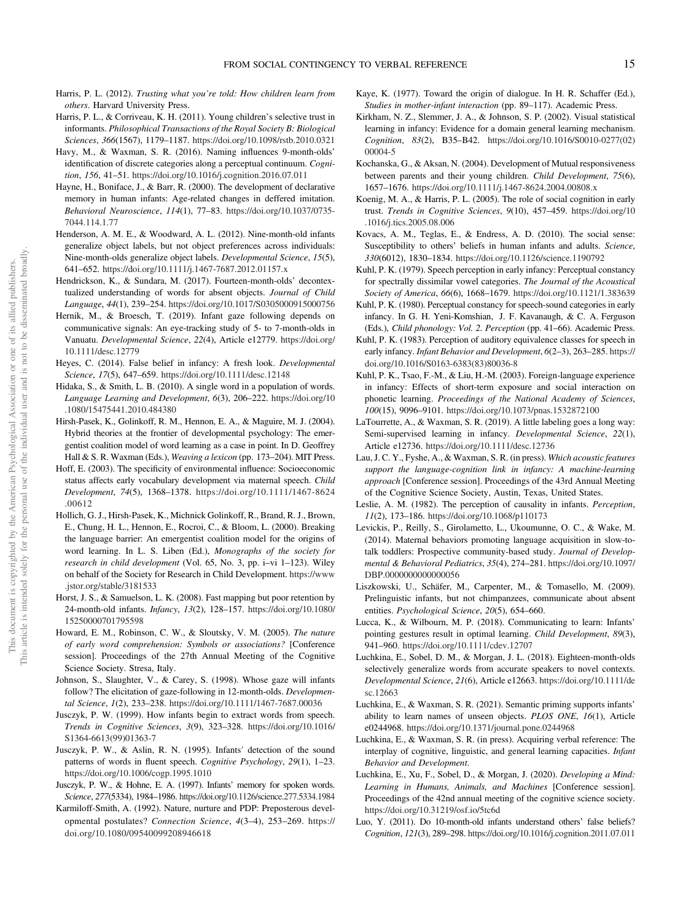- Harris, P. L. (2012). Trusting what you're told: How children learn from others. Harvard University Press.
- Harris, P. L., & Corriveau, K. H. (2011). Young children's selective trust in informants. Philosophical Transactions of the Royal Society B: Biological Sciences, 366(1567), 1179–1187. <https://doi.org/10.1098/rstb.2010.0321>
- Havy, M., & Waxman, S. R. (2016). Naming influences 9-month-olds' identification of discrete categories along a perceptual continuum. Cognition, 156, 41–51. <https://doi.org/10.1016/j.cognition.2016.07.011>
- Hayne, H., Boniface, J., & Barr, R. (2000). The development of declarative memory in human infants: Age-related changes in deffered imitation. Behavioral Neuroscience, 114(1), 77–83. [https://doi.org/10.1037/0735-](https://doi.org/10.1037/0735-7044.114.1.77) [7044.114.1.77](https://doi.org/10.1037/0735-7044.114.1.77)
- Henderson, A. M. E., & Woodward, A. L. (2012). Nine-month-old infants generalize object labels, but not object preferences across individuals: Nine-month-olds generalize object labels. Developmental Science, 15(5), 641–652. <https://doi.org/10.1111/j.1467-7687.2012.01157.x>
- Hendrickson, K., & Sundara, M. (2017). Fourteen-month-olds' decontextualized understanding of words for absent objects. Journal of Child Language, 44(1), 239–254. <https://doi.org/10.1017/S0305000915000756>
- Hernik, M., & Broesch, T. (2019). Infant gaze following depends on communicative signals: An eye-tracking study of 5- to 7-month-olds in Vanuatu. Developmental Science, 22(4), Article e12779. [https://doi.org/](https://doi.org/10.1111/desc.12779) [10.1111/desc.12779](https://doi.org/10.1111/desc.12779)
- Heyes, C. (2014). False belief in infancy: A fresh look. Developmental Science, 17(5), 647–659. <https://doi.org/10.1111/desc.12148>
- Hidaka, S., & Smith, L. B. (2010). A single word in a population of words. Language Learning and Development, 6(3), 206–222. [https://doi.org/10](https://doi.org/10.1080/15475441.2010.484380) [.1080/15475441.2010.484380](https://doi.org/10.1080/15475441.2010.484380)
- Hirsh-Pasek, K., Golinkoff, R. M., Hennon, E. A., & Maguire, M. J. (2004). Hybrid theories at the frontier of developmental psychology: The emergentist coalition model of word learning as a case in point. In D. Geoffrey Hall & S. R. Waxman (Eds.), Weaving a lexicon (pp. 173-204). MIT Press.
- Hoff, E. (2003). The specificity of environmental influence: Socioeconomic status affects early vocabulary development via maternal speech. Child Development, 74(5), 1368–1378. [https://doi.org/10.1111/1467-8624](https://doi.org/10.1111/1467-8624.00612) [.00612](https://doi.org/10.1111/1467-8624.00612)
- Hollich, G. J., Hirsh-Pasek, K., Michnick Golinkoff, R., Brand, R. J., Brown, E., Chung, H. L., Hennon, E., Rocroi, C., & Bloom, L. (2000). Breaking the language barrier: An emergentist coalition model for the origins of word learning. In L. S. Liben (Ed.), Monographs of the society for research in child development (Vol. 65, No. 3, pp. i–vi 1–123). Wiley on behalf of the Society for Research in Child Development. [https://www](https://www.jstor.org/stable/3181533) [.jstor.org/stable/3181533](https://www.jstor.org/stable/3181533)
- Horst, J. S., & Samuelson, L. K. (2008). Fast mapping but poor retention by 24-month-old infants. Infancy, 13(2), 128–157. [https://doi.org/10.1080/](https://doi.org/10.1080/15250000701795598) [15250000701795598](https://doi.org/10.1080/15250000701795598)
- Howard, E. M., Robinson, C. W., & Sloutsky, V. M. (2005). The nature of early word comprehension: Symbols or associations? [Conference session]. Proceedings of the 27th Annual Meeting of the Cognitive Science Society. Stresa, Italy.
- Johnson, S., Slaughter, V., & Carey, S. (1998). Whose gaze will infants follow? The elicitation of gaze-following in 12-month-olds. Developmental Science, 1(2), 233–238. <https://doi.org/10.1111/1467-7687.00036>
- Jusczyk, P. W. (1999). How infants begin to extract words from speech. Trends in Cognitive Sciences, 3(9), 323–328. [https://doi.org/10.1016/](https://doi.org/10.1016/S1364-6613(99)01363-7) [S1364-6613\(99\)01363-7](https://doi.org/10.1016/S1364-6613(99)01363-7)
- Jusczyk, P. W., & Aslin, R. N. (1995). Infants′ detection of the sound patterns of words in fluent speech. Cognitive Psychology, 29(1), 1-23. <https://doi.org/10.1006/cogp.1995.1010>
- Jusczyk, P. W., & Hohne, E. A. (1997). Infants' memory for spoken words. Science, 277(5334), 1984–1986. <https://doi.org/10.1126/science.277.5334.1984>
- Karmiloff-Smith, A. (1992). Nature, nurture and PDP: Preposterous developmental postulates? Connection Science, 4(3–4), 253–269. [https://](https://doi.org/10.1080/09540099208946618) [doi.org/10.1080/09540099208946618](https://doi.org/10.1080/09540099208946618)
- Kaye, K. (1977). Toward the origin of dialogue. In H. R. Schaffer (Ed.), Studies in mother-infant interaction (pp. 89–117). Academic Press.
- Kirkham, N. Z., Slemmer, J. A., & Johnson, S. P. (2002). Visual statistical learning in infancy: Evidence for a domain general learning mechanism. Cognition, 83(2), B35–B42. [https://doi.org/10.1016/S0010-0277\(02\)](https://doi.org/10.1016/S0010-0277(02)00004-5) [00004-5](https://doi.org/10.1016/S0010-0277(02)00004-5)
- Kochanska, G., & Aksan, N. (2004). Development of Mutual responsiveness between parents and their young children. Child Development, 75(6), 1657–1676. <https://doi.org/10.1111/j.1467-8624.2004.00808.x>
- Koenig, M. A., & Harris, P. L. (2005). The role of social cognition in early trust. Trends in Cognitive Sciences, 9(10), 457–459. [https://doi.org/10](https://doi.org/10.1016/j.tics.2005.08.006) [.1016/j.tics.2005.08.006](https://doi.org/10.1016/j.tics.2005.08.006)
- Kovacs, A. M., Teglas, E., & Endress, A. D. (2010). The social sense: Susceptibility to others' beliefs in human infants and adults. Science, 330(6012), 1830–1834. <https://doi.org/10.1126/science.1190792>
- Kuhl, P. K. (1979). Speech perception in early infancy: Perceptual constancy for spectrally dissimilar vowel categories. The Journal of the Acoustical Society of America, 66(6), 1668–1679. <https://doi.org/10.1121/1.383639>
- Kuhl, P. K. (1980). Perceptual constancy for speech-sound categories in early infancy. In G. H. Yeni-Komshian, J. F. Kavanaugh, & C. A. Ferguson (Eds.), Child phonology: Vol. 2. Perception (pp. 41–66). Academic Press.
- Kuhl, P. K. (1983). Perception of auditory equivalence classes for speech in early infancy. Infant Behavior and Development, 6(2-3), 263-285. [https://](https://doi.org/10.1016/S0163-6383(83)80036-8) [doi.org/10.1016/S0163-6383\(83\)80036-8](https://doi.org/10.1016/S0163-6383(83)80036-8)
- Kuhl, P. K., Tsao, F.-M., & Liu, H.-M. (2003). Foreign-language experience in infancy: Effects of short-term exposure and social interaction on phonetic learning. Proceedings of the National Academy of Sciences, 100(15), 9096–9101. <https://doi.org/10.1073/pnas.1532872100>
- LaTourrette, A., & Waxman, S. R. (2019). A little labeling goes a long way: Semi-supervised learning in infancy. Developmental Science, 22(1), Article e12736. <https://doi.org/10.1111/desc.12736>
- Lau, J. C. Y., Fyshe, A., & Waxman, S. R. (in press). Which acoustic features support the language-cognition link in infancy: A machine-learning approach [Conference session]. Proceedings of the 43rd Annual Meeting of the Cognitive Science Society, Austin, Texas, United States.
- Leslie, A. M. (1982). The perception of causality in infants. Perception, 11(2), 173–186. <https://doi.org/10.1068/p110173>
- Levickis, P., Reilly, S., Girolametto, L., Ukoumunne, O. C., & Wake, M. (2014). Maternal behaviors promoting language acquisition in slow-totalk toddlers: Prospective community-based study. Journal of Developmental & Behavioral Pediatrics, 35(4), 274–281. [https://doi.org/10.1097/](https://doi.org/10.1097/DBP.0000000000000056) DBP.00000000000000056
- Liszkowski, U., Schäfer, M., Carpenter, M., & Tomasello, M. (2009). Prelinguistic infants, but not chimpanzees, communicate about absent entities. Psychological Science, 20(5), 654–660.
- Lucca, K., & Wilbourn, M. P. (2018). Communicating to learn: Infants' pointing gestures result in optimal learning. Child Development, 89(3), 941–960. <https://doi.org/10.1111/cdev.12707>
- Luchkina, E., Sobel, D. M., & Morgan, J. L. (2018). Eighteen-month-olds selectively generalize words from accurate speakers to novel contexts. Developmental Science, 21(6), Article e12663. [https://doi.org/10.1111/de](https://doi.org/10.1111/desc.12663) [sc.12663](https://doi.org/10.1111/desc.12663)
- Luchkina, E., & Waxman, S. R. (2021). Semantic priming supports infants' ability to learn names of unseen objects. PLOS ONE, 16(1), Article e0244968. <https://doi.org/10.1371/journal.pone.0244968>
- Luchkina, E., & Waxman, S. R. (in press). Acquiring verbal reference: The interplay of cognitive, linguistic, and general learning capacities. Infant Behavior and Development.
- Luchkina, E., Xu, F., Sobel, D., & Morgan, J. (2020). Developing a Mind: Learning in Humans, Animals, and Machines [Conference session]. Proceedings of the 42nd annual meeting of the cognitive science society. <https://doi.org/10.31219/osf.io/5tc6d>
- Luo, Y. (2011). Do 10-month-old infants understand others' false beliefs? Cognition, 121(3), 289–298. <https://doi.org/10.1016/j.cognition.2011.07.011>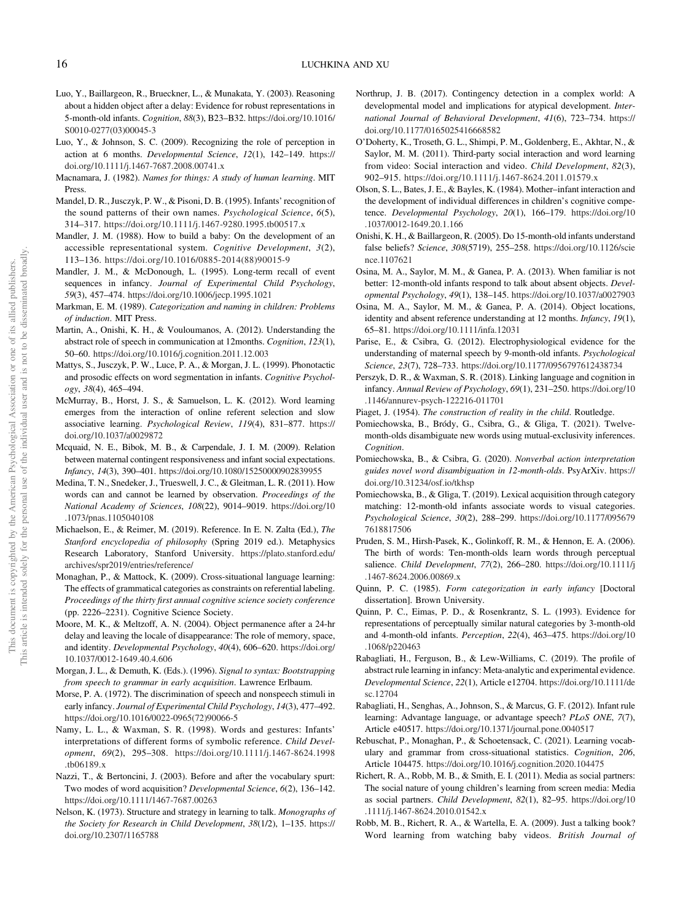- <span id="page-16-0"></span>Luo, Y., Baillargeon, R., Brueckner, L., & Munakata, Y. (2003). Reasoning about a hidden object after a delay: Evidence for robust representations in 5-month-old infants. Cognition, 88(3), B23–B32. [https://doi.org/10.1016/](https://doi.org/10.1016/S0010-0277(03)00045-3) [S0010-0277\(03\)00045-3](https://doi.org/10.1016/S0010-0277(03)00045-3)
- Luo, Y., & Johnson, S. C. (2009). Recognizing the role of perception in action at 6 months. Developmental Science, 12(1), 142–149. [https://](https://doi.org/10.1111/j.1467-7687.2008.00741.x) [doi.org/10.1111/j.1467-7687.2008.00741.x](https://doi.org/10.1111/j.1467-7687.2008.00741.x)
- Macnamara, J. (1982). Names for things: A study of human learning. MIT Press.
- Mandel, D. R., Jusczyk, P. W., & Pisoni, D. B. (1995). Infants' recognition of the sound patterns of their own names. Psychological Science, 6(5), 314–317. <https://doi.org/10.1111/j.1467-9280.1995.tb00517.x>
- Mandler, J. M. (1988). How to build a baby: On the development of an accessible representational system. Cognitive Development, 3(2), 113–136. [https://doi.org/10.1016/0885-2014\(88\)90015-9](https://doi.org/10.1016/0885-2014(88)90015-9)
- Mandler, J. M., & McDonough, L. (1995). Long-term recall of event sequences in infancy. Journal of Experimental Child Psychology, 59(3), 457–474. <https://doi.org/10.1006/jecp.1995.1021>
- Markman, E. M. (1989). Categorization and naming in children: Problems of induction. MIT Press.
- Martin, A., Onishi, K. H., & Vouloumanos, A. (2012). Understanding the abstract role of speech in communication at 12months. Cognition, 123(1), 50–60. <https://doi.org/10.1016/j.cognition.2011.12.003>
- Mattys, S., Jusczyk, P. W., Luce, P. A., & Morgan, J. L. (1999). Phonotactic and prosodic effects on word segmentation in infants. Cognitive Psychology, 38(4), 465–494.
- McMurray, B., Horst, J. S., & Samuelson, L. K. (2012). Word learning emerges from the interaction of online referent selection and slow associative learning. Psychological Review, 119(4), 831–877. [https://](https://doi.org/10.1037/a0029872) [doi.org/10.1037/a0029872](https://doi.org/10.1037/a0029872)
- Mcquaid, N. E., Bibok, M. B., & Carpendale, J. I. M. (2009). Relation between maternal contingent responsiveness and infant social expectations. Infancy, 14(3), 390–401. <https://doi.org/10.1080/15250000902839955>
- Medina, T. N., Snedeker, J., Trueswell, J. C., & Gleitman, L. R. (2011). How words can and cannot be learned by observation. Proceedings of the National Academy of Sciences, 108(22), 9014–9019. [https://doi.org/10](https://doi.org/10.1073/pnas.1105040108) [.1073/pnas.1105040108](https://doi.org/10.1073/pnas.1105040108)
- Michaelson, E., & Reimer, M. (2019). Reference. In E. N. Zalta (Ed.), The Stanford encyclopedia of philosophy (Spring 2019 ed.). Metaphysics Research Laboratory, Stanford University. [https://plato.stanford.edu/](https://plato.stanford.edu/archives/spr2019/entries/reference/) [archives/spr2019/entries/reference/](https://plato.stanford.edu/archives/spr2019/entries/reference/)
- Monaghan, P., & Mattock, K. (2009). Cross-situational language learning: The effects of grammatical categories as constraints on referential labeling. Proceedings of the thirty first annual cognitive science society conference (pp. 2226–2231). Cognitive Science Society.
- Moore, M. K., & Meltzoff, A. N. (2004). Object permanence after a 24-hr delay and leaving the locale of disappearance: The role of memory, space, and identity. Developmental Psychology, 40(4), 606–620. [https://doi.org/](https://doi.org/10.1037/0012-1649.40.4.606) [10.1037/0012-1649.40.4.606](https://doi.org/10.1037/0012-1649.40.4.606)
- Morgan, J. L., & Demuth, K. (Eds.). (1996). Signal to syntax: Bootstrapping from speech to grammar in early acquisition. Lawrence Erlbaum.
- Morse, P. A. (1972). The discrimination of speech and nonspeech stimuli in early infancy. Journal of Experimental Child Psychology, 14(3), 477-492. [https://doi.org/10.1016/0022-0965\(72\)90066-5](https://doi.org/10.1016/0022-0965(72)90066-5)
- Namy, L. L., & Waxman, S. R. (1998). Words and gestures: Infants' interpretations of different forms of symbolic reference. Child Development, 69(2), 295–308. [https://doi.org/10.1111/j.1467-8624.1998](https://doi.org/10.1111/j.1467-8624.1998.tb06189.x) [.tb06189.x](https://doi.org/10.1111/j.1467-8624.1998.tb06189.x)
- Nazzi, T., & Bertoncini, J. (2003). Before and after the vocabulary spurt: Two modes of word acquisition? Developmental Science, 6(2), 136–142. <https://doi.org/10.1111/1467-7687.00263>
- Nelson, K. (1973). Structure and strategy in learning to talk. Monographs of the Society for Research in Child Development, 38(1/2), 1–135. [https://](https://doi.org/10.2307/1165788) [doi.org/10.2307/1165788](https://doi.org/10.2307/1165788)
- Northrup, J. B. (2017). Contingency detection in a complex world: A developmental model and implications for atypical development. International Journal of Behavioral Development, 41(6), 723–734. [https://](https://doi.org/10.1177/0165025416668582) [doi.org/10.1177/0165025416668582](https://doi.org/10.1177/0165025416668582)
- O'Doherty, K., Troseth, G. L., Shimpi, P. M., Goldenberg, E., Akhtar, N., & Saylor, M. M. (2011). Third-party social interaction and word learning from video: Social interaction and video. Child Development, 82(3), 902–915. <https://doi.org/10.1111/j.1467-8624.2011.01579.x>
- Olson, S. L., Bates, J. E., & Bayles, K. (1984). Mother–infant interaction and the development of individual differences in children's cognitive competence. Developmental Psychology, 20(1), 166–179. [https://doi.org/10](https://doi.org/10.1037/0012-1649.20.1.166) [.1037/0012-1649.20.1.166](https://doi.org/10.1037/0012-1649.20.1.166)
- Onishi, K. H., & Baillargeon, R. (2005). Do 15-month-old infants understand false beliefs? Science, 308(5719), 255–258. [https://doi.org/10.1126/scie](https://doi.org/10.1126/science.1107621) [nce.1107621](https://doi.org/10.1126/science.1107621)
- Osina, M. A., Saylor, M. M., & Ganea, P. A. (2013). When familiar is not better: 12-month-old infants respond to talk about absent objects. Developmental Psychology, 49(1), 138–145. <https://doi.org/10.1037/a0027903>
- Osina, M. A., Saylor, M. M., & Ganea, P. A. (2014). Object locations, identity and absent reference understanding at 12 months. Infancy, 19(1), 65–81. <https://doi.org/10.1111/infa.12031>
- Parise, E., & Csibra, G. (2012). Electrophysiological evidence for the understanding of maternal speech by 9-month-old infants. Psychological Science, 23(7), 728–733. <https://doi.org/10.1177/0956797612438734>
- Perszyk, D. R., & Waxman, S. R. (2018). Linking language and cognition in infancy. Annual Review of Psychology, 69(1), 231–250. [https://doi.org/10](https://doi.org/10.1146/annurev-psych-122216-011701) [.1146/annurev-psych-122216-011701](https://doi.org/10.1146/annurev-psych-122216-011701)
- Piaget, J. (1954). The construction of reality in the child. Routledge.
- Pomiechowska, B., Bródy, G., Csibra, G., & Gliga, T. (2021). Twelvemonth-olds disambiguate new words using mutual-exclusivity inferences. Cognition.
- Pomiechowska, B., & Csibra, G. (2020). Nonverbal action interpretation guides novel word disambiguation in 12-month-olds. PsyArXiv. [https://](https://doi.org/10.31234/osf.io/tkhsp) [doi.org/10.31234/osf.io/tkhsp](https://doi.org/10.31234/osf.io/tkhsp)
- Pomiechowska, B., & Gliga, T. (2019). Lexical acquisition through category matching: 12-month-old infants associate words to visual categories. Psychological Science, 30(2), 288–299. [https://doi.org/10.1177/095679](https://doi.org/10.1177/0956797618817506) [7618817506](https://doi.org/10.1177/0956797618817506)
- Pruden, S. M., Hirsh-Pasek, K., Golinkoff, R. M., & Hennon, E. A. (2006). The birth of words: Ten-month-olds learn words through perceptual salience. Child Development, 77(2), 266–280. [https://doi.org/10.1111/j](https://doi.org/10.1111/j.1467-8624.2006.00869.x) [.1467-8624.2006.00869.x](https://doi.org/10.1111/j.1467-8624.2006.00869.x)
- Quinn, P. C. (1985). Form categorization in early infancy [Doctoral dissertation]. Brown University.
- Quinn, P. C., Eimas, P. D., & Rosenkrantz, S. L. (1993). Evidence for representations of perceptually similar natural categories by 3-month-old and 4-month-old infants. Perception, 22(4), 463–475. [https://doi.org/10](https://doi.org/10.1068/p220463) [.1068/p220463](https://doi.org/10.1068/p220463)
- Rabagliati, H., Ferguson, B., & Lew‐Williams, C. (2019). The profile of abstract rule learning in infancy: Meta‐analytic and experimental evidence. Developmental Science, 22(1), Article e12704. [https://doi.org/10.1111/de](https://doi.org/10.1111/desc.12704) [sc.12704](https://doi.org/10.1111/desc.12704)
- Rabagliati, H., Senghas, A., Johnson, S., & Marcus, G. F. (2012). Infant rule learning: Advantage language, or advantage speech? PLoS ONE, 7(7), Article e40517. <https://doi.org/10.1371/journal.pone.0040517>
- Rebuschat, P., Monaghan, P., & Schoetensack, C. (2021). Learning vocabulary and grammar from cross-situational statistics. Cognition, 206, Article 104475. <https://doi.org/10.1016/j.cognition.2020.104475>
- Richert, R. A., Robb, M. B., & Smith, E. I. (2011). Media as social partners: The social nature of young children's learning from screen media: Media as social partners. Child Development, 82(1), 82–95. [https://doi.org/10](https://doi.org/10.1111/j.1467-8624.2010.01542.x) [.1111/j.1467-8624.2010.01542.x](https://doi.org/10.1111/j.1467-8624.2010.01542.x)
- Robb, M. B., Richert, R. A., & Wartella, E. A. (2009). Just a talking book? Word learning from watching baby videos. British Journal of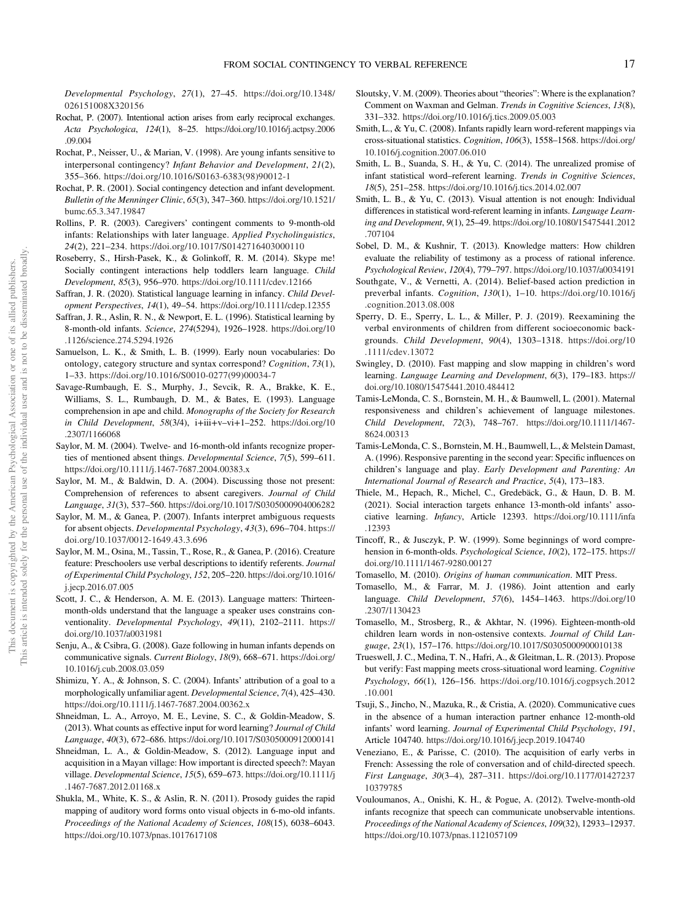Developmental Psychology, 27(1), 27–45. [https://doi.org/10.1348/](https://doi.org/10.1348/026151008X320156) [026151008X320156](https://doi.org/10.1348/026151008X320156)

- Rochat, P. (2007). Intentional action arises from early reciprocal exchanges. Acta Psychologica, 124(1), 8–25. [https://doi.org/10.1016/j.actpsy.2006](https://doi.org/10.1016/j.actpsy.2006.09.004) [.09.004](https://doi.org/10.1016/j.actpsy.2006.09.004)
- Rochat, P., Neisser, U., & Marian, V. (1998). Are young infants sensitive to interpersonal contingency? Infant Behavior and Development, 21(2), 355–366. [https://doi.org/10.1016/S0163-6383\(98\)90012-1](https://doi.org/10.1016/S0163-6383(98)90012-1)
- Rochat, P. R. (2001). Social contingency detection and infant development. Bulletin of the Menninger Clinic, 65(3), 347–360. [https://doi.org/10.1521/](https://doi.org/10.1521/bumc.65.3.347.19847) [bumc.65.3.347.19847](https://doi.org/10.1521/bumc.65.3.347.19847)
- Rollins, P. R. (2003). Caregivers' contingent comments to 9-month-old infants: Relationships with later language. Applied Psycholinguistics, 24(2), 221–234. <https://doi.org/10.1017/S0142716403000110>
- Roseberry, S., Hirsh-Pasek, K., & Golinkoff, R. M. (2014). Skype me! Socially contingent interactions help toddlers learn language. Child Development, 85(3), 956–970. <https://doi.org/10.1111/cdev.12166>
- Saffran, J. R. (2020). Statistical language learning in infancy. Child Development Perspectives, 14(1), 49–54. <https://doi.org/10.1111/cdep.12355>
- Saffran, J. R., Aslin, R. N., & Newport, E. L. (1996). Statistical learning by 8-month-old infants. Science, 274(5294), 1926–1928. [https://doi.org/10](https://doi.org/10.1126/science.274.5294.1926) [.1126/science.274.5294.1926](https://doi.org/10.1126/science.274.5294.1926)
- Samuelson, L. K., & Smith, L. B. (1999). Early noun vocabularies: Do ontology, category structure and syntax correspond? Cognition, 73(1), 1–33. [https://doi.org/10.1016/S0010-0277\(99\)00034-7](https://doi.org/10.1016/S0010-0277(99)00034-7)
- Savage-Rumbaugh, E. S., Murphy, J., Sevcik, R. A., Brakke, K. E., Williams, S. L., Rumbaugh, D. M., & Bates, E. (1993). Language comprehension in ape and child. Monographs of the Society for Research in Child Development, 58(3/4), i+iii+v–vi+1–252. [https://doi.org/10](https://doi.org/10.2307/1166068) [.2307/1166068](https://doi.org/10.2307/1166068)
- Saylor, M. M. (2004). Twelve- and 16-month-old infants recognize properties of mentioned absent things. Developmental Science, 7(5), 599-611. <https://doi.org/10.1111/j.1467-7687.2004.00383.x>
- Saylor, M. M., & Baldwin, D. A. (2004). Discussing those not present: Comprehension of references to absent caregivers. Journal of Child Language, 31(3), 537–560. <https://doi.org/10.1017/S0305000904006282>
- Saylor, M. M., & Ganea, P. (2007). Infants interpret ambiguous requests for absent objects. Developmental Psychology, 43(3), 696–704. [https://](https://doi.org/10.1037/0012-1649.43.3.696) [doi.org/10.1037/0012-1649.43.3.696](https://doi.org/10.1037/0012-1649.43.3.696)
- Saylor, M. M., Osina, M., Tassin, T., Rose, R., & Ganea, P. (2016). Creature feature: Preschoolers use verbal descriptions to identify referents. Journal of Experimental Child Psychology, 152, 205–220. [https://doi.org/10.1016/](https://doi.org/10.1016/j.jecp.2016.07.005) [j.jecp.2016.07.005](https://doi.org/10.1016/j.jecp.2016.07.005)
- Scott, J. C., & Henderson, A. M. E. (2013). Language matters: Thirteenmonth-olds understand that the language a speaker uses constrains conventionality. Developmental Psychology, 49(11), 2102–2111. [https://](https://doi.org/10.1037/a0031981) [doi.org/10.1037/a0031981](https://doi.org/10.1037/a0031981)
- Senju, A., & Csibra, G. (2008). Gaze following in human infants depends on communicative signals. Current Biology, 18(9), 668–671. [https://doi.org/](https://doi.org/10.1016/j.cub.2008.03.059) [10.1016/j.cub.2008.03.059](https://doi.org/10.1016/j.cub.2008.03.059)
- Shimizu, Y. A., & Johnson, S. C. (2004). Infants' attribution of a goal to a morphologically unfamiliar agent. Developmental Science, 7(4), 425–430. <https://doi.org/10.1111/j.1467-7687.2004.00362.x>
- Shneidman, L. A., Arroyo, M. E., Levine, S. C., & Goldin-Meadow, S. (2013). What counts as effective input for word learning? Journal of Child Language, 40(3), 672–686. <https://doi.org/10.1017/S0305000912000141>
- Shneidman, L. A., & Goldin-Meadow, S. (2012). Language input and acquisition in a Mayan village: How important is directed speech?: Mayan village. Developmental Science, 15(5), 659–673. [https://doi.org/10.1111/j](https://doi.org/10.1111/j.1467-7687.2012.01168.x) [.1467-7687.2012.01168.x](https://doi.org/10.1111/j.1467-7687.2012.01168.x)
- Shukla, M., White, K. S., & Aslin, R. N. (2011). Prosody guides the rapid mapping of auditory word forms onto visual objects in 6-mo-old infants. Proceedings of the National Academy of Sciences, 108(15), 6038–6043. <https://doi.org/10.1073/pnas.1017617108>
- Sloutsky, V. M. (2009). Theories about "theories": Where is the explanation? Comment on Waxman and Gelman. Trends in Cognitive Sciences, 13(8), 331–332. <https://doi.org/10.1016/j.tics.2009.05.003>
- Smith, L., & Yu, C. (2008). Infants rapidly learn word-referent mappings via cross-situational statistics. Cognition, 106(3), 1558–1568. [https://doi.org/](https://doi.org/10.1016/j.cognition.2007.06.010) [10.1016/j.cognition.2007.06.010](https://doi.org/10.1016/j.cognition.2007.06.010)
- Smith, L. B., Suanda, S. H., & Yu, C. (2014). The unrealized promise of infant statistical word–referent learning. Trends in Cognitive Sciences, 18(5), 251–258. <https://doi.org/10.1016/j.tics.2014.02.007>
- Smith, L. B., & Yu, C. (2013). Visual attention is not enough: Individual differences in statistical word-referent learning in infants. Language Learning and Development, 9(1), 25–49. [https://doi.org/10.1080/15475441.2012](https://doi.org/10.1080/15475441.2012.707104) [.707104](https://doi.org/10.1080/15475441.2012.707104)
- Sobel, D. M., & Kushnir, T. (2013). Knowledge matters: How children evaluate the reliability of testimony as a process of rational inference. Psychological Review, 120(4), 779–797. <https://doi.org/10.1037/a0034191>
- Southgate, V., & Vernetti, A. (2014). Belief-based action prediction in preverbal infants. Cognition, 130(1), 1–10. [https://doi.org/10.1016/j](https://doi.org/10.1016/j.cognition.2013.08.008) [.cognition.2013.08.008](https://doi.org/10.1016/j.cognition.2013.08.008)
- Sperry, D. E., Sperry, L. L., & Miller, P. J. (2019). Reexamining the verbal environments of children from different socioeconomic backgrounds. Child Development, 90(4), 1303–1318. [https://doi.org/10](https://doi.org/10.1111/cdev.13072) [.1111/cdev.13072](https://doi.org/10.1111/cdev.13072)
- Swingley, D. (2010). Fast mapping and slow mapping in children's word learning. Language Learning and Development, 6(3), 179–183. [https://](https://doi.org/10.1080/15475441.2010.484412) [doi.org/10.1080/15475441.2010.484412](https://doi.org/10.1080/15475441.2010.484412)
- Tamis-LeMonda, C. S., Bornstein, M. H., & Baumwell, L. (2001). Maternal responsiveness and children's achievement of language milestones. Child Development, 72(3), 748–767. [https://doi.org/10.1111/1467-](https://doi.org/10.1111/1467-8624.00313) [8624.00313](https://doi.org/10.1111/1467-8624.00313)
- Tamis-LeMonda, C. S., Bornstein, M. H., Baumwell, L., & Melstein Damast, A. (1996). Responsive parenting in the second year: Specific influences on children's language and play. Early Development and Parenting: An International Journal of Research and Practice, 5(4), 173–183.
- Thiele, M., Hepach, R., Michel, C., Gredebäck, G., & Haun, D. B. M. (2021). Social interaction targets enhance 13‐month‐old infants' associative learning. Infancy, Article 12393. [https://doi.org/10.1111/infa](https://doi.org/10.1111/infa.12393) [.12393](https://doi.org/10.1111/infa.12393)
- Tincoff, R., & Jusczyk, P. W. (1999). Some beginnings of word comprehension in 6-month-olds. Psychological Science, 10(2), 172–175. [https://](https://doi.org/10.1111/1467-9280.00127) [doi.org/10.1111/1467-9280.00127](https://doi.org/10.1111/1467-9280.00127)
- Tomasello, M. (2010). Origins of human communication. MIT Press.
- Tomasello, M., & Farrar, M. J. (1986). Joint attention and early language. Child Development, 57(6), 1454–1463. [https://doi.org/10](https://doi.org/10.2307/1130423) [.2307/1130423](https://doi.org/10.2307/1130423)
- Tomasello, M., Strosberg, R., & Akhtar, N. (1996). Eighteen-month-old children learn words in non-ostensive contexts. Journal of Child Language, 23(1), 157–176. <https://doi.org/10.1017/S0305000900010138>
- Trueswell, J. C., Medina, T. N., Hafri, A., & Gleitman, L. R. (2013). Propose but verify: Fast mapping meets cross-situational word learning. Cognitive Psychology, 66(1), 126–156. [https://doi.org/10.1016/j.cogpsych.2012](https://doi.org/10.1016/j.cogpsych.2012.10.001) [.10.001](https://doi.org/10.1016/j.cogpsych.2012.10.001)
- Tsuji, S., Jincho, N., Mazuka, R., & Cristia, A. (2020). Communicative cues in the absence of a human interaction partner enhance 12-month-old infants' word learning. Journal of Experimental Child Psychology, 191, Article 104740. <https://doi.org/10.1016/j.jecp.2019.104740>
- Veneziano, E., & Parisse, C. (2010). The acquisition of early verbs in French: Assessing the role of conversation and of child-directed speech. First Language, 30(3–4), 287–311. [https://doi.org/10.1177/01427237](https://doi.org/10.1177/0142723710379785) [10379785](https://doi.org/10.1177/0142723710379785)
- Vouloumanos, A., Onishi, K. H., & Pogue, A. (2012). Twelve-month-old infants recognize that speech can communicate unobservable intentions. Proceedings of the National Academy of Sciences, 109(32), 12933–12937. <https://doi.org/10.1073/pnas.1121057109>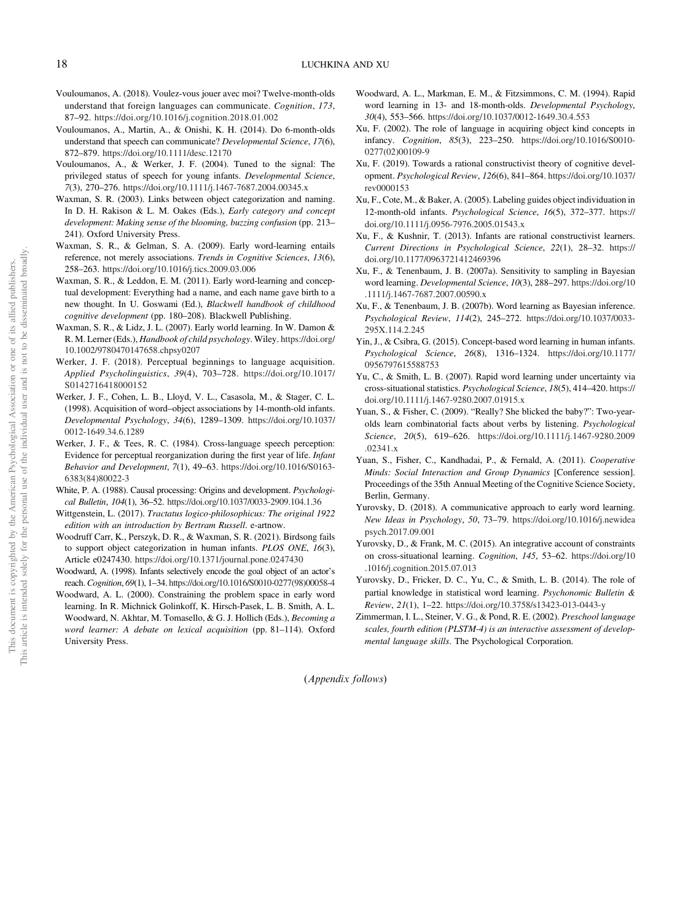- Vouloumanos, A. (2018). Voulez-vous jouer avec moi? Twelve-month-olds understand that foreign languages can communicate. Cognition, 173, 87–92. <https://doi.org/10.1016/j.cognition.2018.01.002>
- Vouloumanos, A., Martin, A., & Onishi, K. H. (2014). Do 6-month-olds understand that speech can communicate? Developmental Science, 17(6), 872–879. <https://doi.org/10.1111/desc.12170>
- Vouloumanos, A., & Werker, J. F. (2004). Tuned to the signal: The privileged status of speech for young infants. Developmental Science, 7(3), 270–276. <https://doi.org/10.1111/j.1467-7687.2004.00345.x>
- Waxman, S. R. (2003). Links between object categorization and naming. In D. H. Rakison & L. M. Oakes (Eds.), Early category and concept development: Making sense of the blooming, buzzing confusion (pp. 213– 241). Oxford University Press.
- Waxman, S. R., & Gelman, S. A. (2009). Early word-learning entails reference, not merely associations. Trends in Cognitive Sciences, 13(6), 258–263. <https://doi.org/10.1016/j.tics.2009.03.006>
- Waxman, S. R., & Leddon, E. M. (2011). Early word-learning and conceptual development: Everything had a name, and each name gave birth to a new thought. In U. Goswami (Ed.), Blackwell handbook of childhood cognitive development (pp. 180–208). Blackwell Publishing.
- Waxman, S. R., & Lidz, J. L. (2007). Early world learning. In W. Damon & R. M. Lerner (Eds.), Handbook of child psychology. Wiley. [https://doi.org/](https://doi.org/10.1002/9780470147658.chpsy0207) [10.1002/9780470147658.chpsy0207](https://doi.org/10.1002/9780470147658.chpsy0207)
- Werker, J. F. (2018). Perceptual beginnings to language acquisition. Applied Psycholinguistics, 39(4), 703–728. [https://doi.org/10.1017/](https://doi.org/10.1017/S0142716418000152) [S0142716418000152](https://doi.org/10.1017/S0142716418000152)
- Werker, J. F., Cohen, L. B., Lloyd, V. L., Casasola, M., & Stager, C. L. (1998). Acquisition of word–object associations by 14-month-old infants. Developmental Psychology, 34(6), 1289–1309. [https://doi.org/10.1037/](https://doi.org/10.1037/0012-1649.34.6.1289) [0012-1649.34.6.1289](https://doi.org/10.1037/0012-1649.34.6.1289)
- Werker, J. F., & Tees, R. C. (1984). Cross-language speech perception: Evidence for perceptual reorganization during the first year of life. Infant Behavior and Development, 7(1), 49–63. [https://doi.org/10.1016/S0163-](https://doi.org/10.1016/S0163-6383(84)80022-3) [6383\(84\)80022-3](https://doi.org/10.1016/S0163-6383(84)80022-3)
- White, P. A. (1988). Causal processing: Origins and development. Psychological Bulletin, 104(1), 36–52. <https://doi.org/10.1037/0033-2909.104.1.36>
- Wittgenstein, L. (2017). Tractatus logico-philosophicus: The original 1922 edition with an introduction by Bertram Russell. e-artnow.
- Woodruff Carr, K., Perszyk, D. R., & Waxman, S. R. (2021). Birdsong fails to support object categorization in human infants. PLOS ONE, 16(3), Article e0247430. <https://doi.org/10.1371/journal.pone.0247430>
- Woodward, A. (1998). Infants selectively encode the goal object of an actor's reach.Cognition, 69(1), 1–34. [https://doi.org/10.1016/S0010-0277\(98\)00058-4](https://doi.org/10.1016/S0010-0277(98)00058-4)
- Woodward, A. L. (2000). Constraining the problem space in early word learning. In R. Michnick Golinkoff, K. Hirsch-Pasek, L. B. Smith, A. L. Woodward, N. Akhtar, M. Tomasello, & G. J. Hollich (Eds.), Becoming a word learner: A debate on lexical acquisition (pp. 81–114). Oxford University Press.
- Woodward, A. L., Markman, E. M., & Fitzsimmons, C. M. (1994). Rapid word learning in 13- and 18-month-olds. Developmental Psychology, 30(4), 553–566. <https://doi.org/10.1037/0012-1649.30.4.553>
- Xu, F. (2002). The role of language in acquiring object kind concepts in infancy. Cognition, 85(3), 223–250. [https://doi.org/10.1016/S0010-](https://doi.org/10.1016/S0010-0277(02)00109-9) [0277\(02\)00109-9](https://doi.org/10.1016/S0010-0277(02)00109-9)
- Xu, F. (2019). Towards a rational constructivist theory of cognitive development. Psychological Review, 126(6), 841–864. [https://doi.org/10.1037/](https://doi.org/10.1037/rev0000153) [rev0000153](https://doi.org/10.1037/rev0000153)
- Xu, F., Cote, M., & Baker, A. (2005). Labeling guides object individuation in 12-month-old infants. Psychological Science, 16(5), 372–377. [https://](https://doi.org/10.1111/j.0956-7976.2005.01543.x) [doi.org/10.1111/j.0956-7976.2005.01543.x](https://doi.org/10.1111/j.0956-7976.2005.01543.x)
- Xu, F., & Kushnir, T. (2013). Infants are rational constructivist learners. Current Directions in Psychological Science, 22(1), 28–32. [https://](https://doi.org/10.1177/0963721412469396) [doi.org/10.1177/0963721412469396](https://doi.org/10.1177/0963721412469396)
- Xu, F., & Tenenbaum, J. B. (2007a). Sensitivity to sampling in Bayesian word learning. Developmental Science, 10(3), 288–297. [https://doi.org/10](https://doi.org/10.1111/j.1467-7687.2007.00590.x) [.1111/j.1467-7687.2007.00590.x](https://doi.org/10.1111/j.1467-7687.2007.00590.x)
- Xu, F., & Tenenbaum, J. B. (2007b). Word learning as Bayesian inference. Psychological Review, 114(2), 245–272. [https://doi.org/10.1037/0033-](https://doi.org/10.1037/0033-295X.114.2.245) [295X.114.2.245](https://doi.org/10.1037/0033-295X.114.2.245)
- Yin, J., & Csibra, G. (2015). Concept-based word learning in human infants. Psychological Science, 26(8), 1316–1324. [https://doi.org/10.1177/](https://doi.org/10.1177/0956797615588753) [0956797615588753](https://doi.org/10.1177/0956797615588753)
- Yu, C., & Smith, L. B. (2007). Rapid word learning under uncertainty via cross-situational statistics. Psychological Science, 18(5), 414–420. [https://](https://doi.org/10.1111/j.1467-9280.2007.01915.x) [doi.org/10.1111/j.1467-9280.2007.01915.x](https://doi.org/10.1111/j.1467-9280.2007.01915.x)
- Yuan, S., & Fisher, C. (2009). "Really? She blicked the baby?": Two-yearolds learn combinatorial facts about verbs by listening. Psychological Science, 20(5), 619–626. [https://doi.org/10.1111/j.1467-9280.2009](https://doi.org/10.1111/j.1467-9280.2009.02341.x) [.02341.x](https://doi.org/10.1111/j.1467-9280.2009.02341.x)
- Yuan, S., Fisher, C., Kandhadai, P., & Fernald, A. (2011). Cooperative Minds: Social Interaction and Group Dynamics [Conference session]. Proceedings of the 35th Annual Meeting of the Cognitive Science Society, Berlin, Germany.
- Yurovsky, D. (2018). A communicative approach to early word learning. New Ideas in Psychology, 50, 73–79. [https://doi.org/10.1016/j.newidea](https://doi.org/10.1016/j.newideapsych.2017.09.001) [psych.2017.09.001](https://doi.org/10.1016/j.newideapsych.2017.09.001)
- Yurovsky, D., & Frank, M. C. (2015). An integrative account of constraints on cross-situational learning. Cognition, 145, 53–62. [https://doi.org/10](https://doi.org/10.1016/j.cognition.2015.07.013) [.1016/j.cognition.2015.07.013](https://doi.org/10.1016/j.cognition.2015.07.013)
- Yurovsky, D., Fricker, D. C., Yu, C., & Smith, L. B. (2014). The role of partial knowledge in statistical word learning. Psychonomic Bulletin & Review, 21(1), 1–22. <https://doi.org/10.3758/s13423-013-0443-y>
- Zimmerman, I. L., Steiner, V. G., & Pond, R. E. (2002). Preschool language scales, fourth edition (PLSTM-4) is an interactive assessment of developmental language skills. The Psychological Corporation.

(Appendix follows)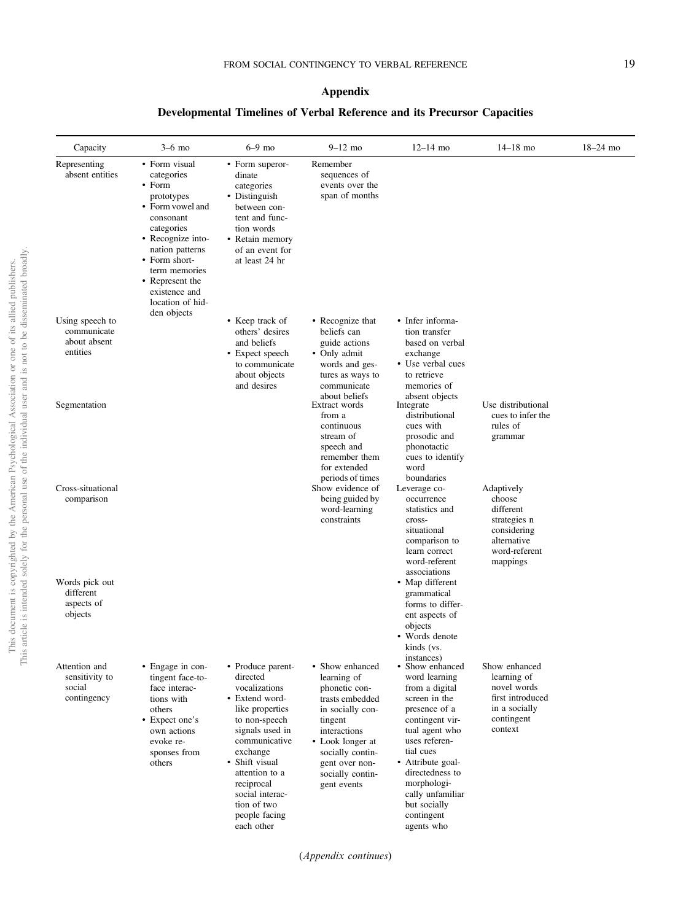# Appendix

# Developmental Timelines of Verbal Reference and its Precursor Capacities

| Capacity                                                   | $3-6$ mo                                                                                                                                                                                                                             | $6-9$ mo                                                                                                                                                                                                                                                                | $9 - 12$ mo                                                                                                                                                                                                    | $12 - 14$ mo                                                                                                                                                                                                                                                                   | $14 - 18$ mo                                                                                                 | $18 - 24$ mo |
|------------------------------------------------------------|--------------------------------------------------------------------------------------------------------------------------------------------------------------------------------------------------------------------------------------|-------------------------------------------------------------------------------------------------------------------------------------------------------------------------------------------------------------------------------------------------------------------------|----------------------------------------------------------------------------------------------------------------------------------------------------------------------------------------------------------------|--------------------------------------------------------------------------------------------------------------------------------------------------------------------------------------------------------------------------------------------------------------------------------|--------------------------------------------------------------------------------------------------------------|--------------|
| Representing<br>absent entities                            | • Form visual<br>categories<br>• Form<br>prototypes<br>• Form yowel and<br>consonant<br>categories<br>• Recognize into-<br>nation patterns<br>• Form short-<br>term memories<br>• Represent the<br>existence and<br>location of hid- | • Form superor-<br>dinate<br>categories<br>• Distinguish<br>between con-<br>tent and func-<br>tion words<br>• Retain memory<br>of an event for<br>at least 24 hr                                                                                                        | Remember<br>sequences of<br>events over the<br>span of months                                                                                                                                                  |                                                                                                                                                                                                                                                                                |                                                                                                              |              |
| Using speech to<br>communicate<br>about absent<br>entities | den objects                                                                                                                                                                                                                          | • Keep track of<br>others' desires<br>and beliefs<br>• Expect speech<br>to communicate<br>about objects<br>and desires                                                                                                                                                  | • Recognize that<br>beliefs can<br>guide actions<br>• Only admit<br>words and ges-<br>tures as ways to<br>communicate                                                                                          | • Infer informa-<br>tion transfer<br>based on verbal<br>exchange<br>• Use verbal cues<br>to retrieve<br>memories of                                                                                                                                                            |                                                                                                              |              |
| Segmentation                                               |                                                                                                                                                                                                                                      |                                                                                                                                                                                                                                                                         | about beliefs<br>Extract words<br>from a<br>continuous<br>stream of<br>speech and<br>remember them<br>for extended<br>periods of times                                                                         | absent objects<br>Integrate<br>distributional<br>cues with<br>prosodic and<br>phonotactic<br>cues to identify<br>word<br>boundaries                                                                                                                                            | Use distributional<br>cues to infer the<br>rules of<br>grammar                                               |              |
| Cross-situational<br>comparison                            |                                                                                                                                                                                                                                      |                                                                                                                                                                                                                                                                         | Show evidence of<br>being guided by<br>word-learning<br>constraints                                                                                                                                            | Leverage co-<br>occurrence<br>statistics and<br>cross-<br>situational<br>comparison to<br>learn correct<br>word-referent                                                                                                                                                       | Adaptively<br>choose<br>different<br>strategies n<br>considering<br>alternative<br>word-referent<br>mappings |              |
| Words pick out<br>different<br>aspects of<br>objects       |                                                                                                                                                                                                                                      |                                                                                                                                                                                                                                                                         |                                                                                                                                                                                                                | associations<br>• Map different<br>grammatical<br>forms to differ-<br>ent aspects of<br>objects<br>• Words denote<br>kinds (vs.<br>instances)                                                                                                                                  |                                                                                                              |              |
| Attention and<br>sensitivity to<br>social<br>contingency   | • Engage in con-<br>tingent face-to-<br>face interac-<br>tions with<br>others<br>• Expect one's<br>own actions<br>evoke re-<br>sponses from<br>others                                                                                | • Produce parent-<br>directed<br>vocalizations<br>• Extend word-<br>like properties<br>to non-speech<br>signals used in<br>communicative<br>exchange<br>• Shift visual<br>attention to a<br>reciprocal<br>social interac-<br>tion of two<br>people facing<br>each other | • Show enhanced<br>learning of<br>phonetic con-<br>trasts embedded<br>in socially con-<br>tingent<br>interactions<br>• Look longer at<br>socially contin-<br>gent over non-<br>socially contin-<br>gent events | • Show enhanced<br>word learning<br>from a digital<br>screen in the<br>presence of a<br>contingent vir-<br>tual agent who<br>uses referen-<br>tial cues<br>• Attribute goal-<br>directedness to<br>morphologi-<br>cally unfamiliar<br>but socially<br>contingent<br>agents who | Show enhanced<br>learning of<br>novel words<br>first introduced<br>in a socially<br>contingent<br>context    |              |

(Appendix continues )